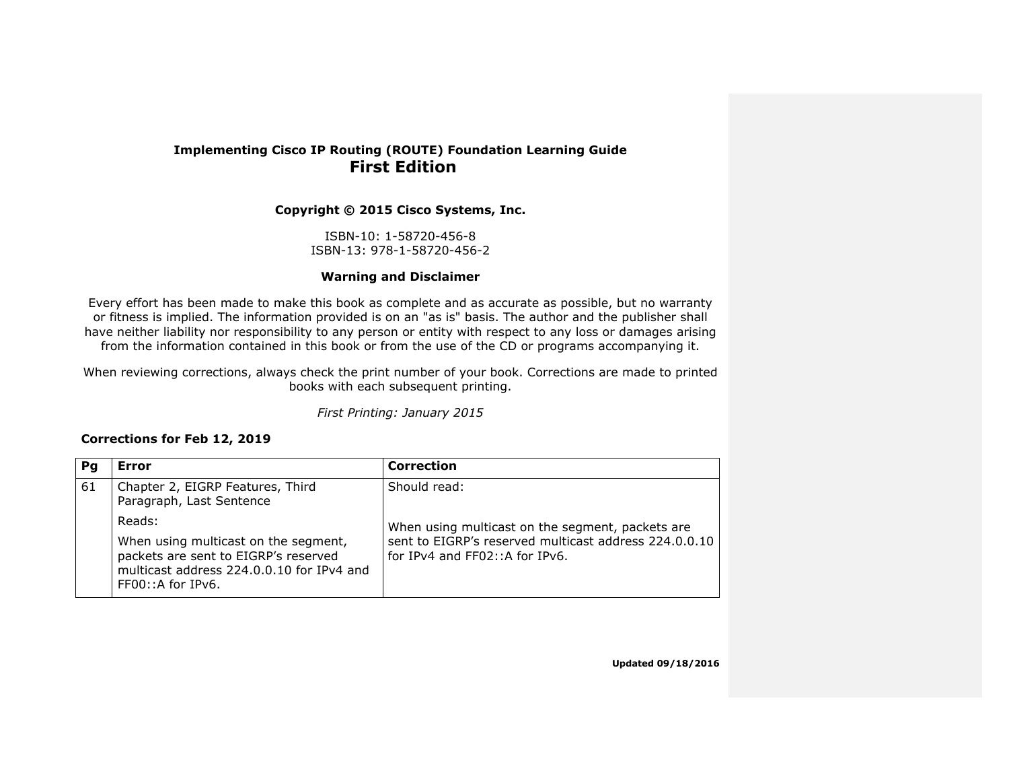#### **Implementing Cisco IP Routing (ROUTE) Foundation Learning Guide First Edition**

**Copyright © 2015 Cisco Systems, Inc.**

ISBN-10: 1-58720-456-8 ISBN-13: 978-1-58720-456-2

#### **Warning and Disclaimer**

Every effort has been made to make this book as complete and as accurate as possible, but no warranty or fitness is implied. The information provided is on an "as is" basis. The author and the publisher shall have neither liability nor responsibility to any person or entity with respect to any loss or damages arising from the information contained in this book or from the use of the CD or programs accompanying it.

When reviewing corrections, always check the print number of your book. Corrections are made to printed books with each subsequent printing.

*First Printing: January 2015*

#### **Corrections for Feb 12, 2019**

| Pa | Error                                                                                                                                                         | <b>Correction</b>                                                                                                                                  |
|----|---------------------------------------------------------------------------------------------------------------------------------------------------------------|----------------------------------------------------------------------------------------------------------------------------------------------------|
| 61 | Chapter 2, EIGRP Features, Third<br>Paragraph, Last Sentence                                                                                                  | Should read:                                                                                                                                       |
|    | Reads:<br>When using multicast on the segment,<br>packets are sent to EIGRP's reserved<br>multicast address 224,0,0,10 for IPv4 and<br>$FF00::A$ for $IPv6$ . | When using multicast on the segment, packets are<br>sent to EIGRP's reserved multicast address 224.0.0.10<br>for $IPv4$ and $FF02::A$ for $IPv6$ . |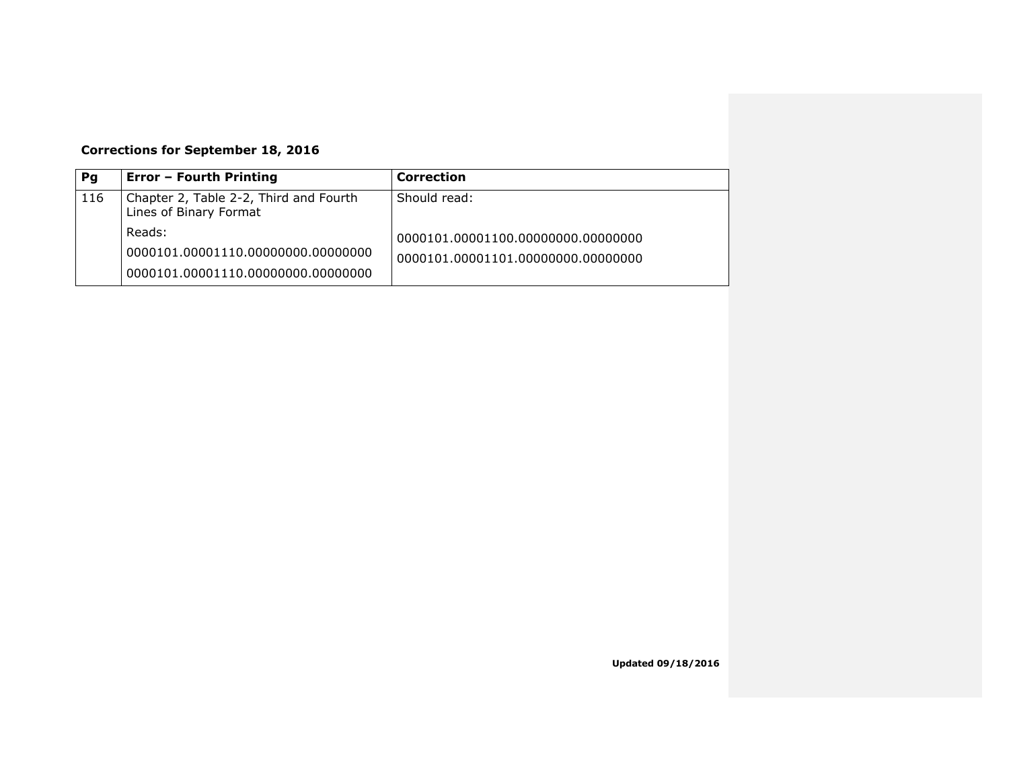# **Corrections for September 18, 2016**

| Pg  | <b>Error - Fourth Printing</b>                                   | Correction                         |
|-----|------------------------------------------------------------------|------------------------------------|
| 116 | Chapter 2, Table 2-2, Third and Fourth<br>Lines of Binary Format | Should read:                       |
|     | Reads:                                                           | 0000101.00001100.00000000.00000000 |
|     | 0000101.00001110.00000000.00000000                               | 0000101.00001101.00000000.00000000 |
|     | 0000101.00001110.00000000.00000000                               |                                    |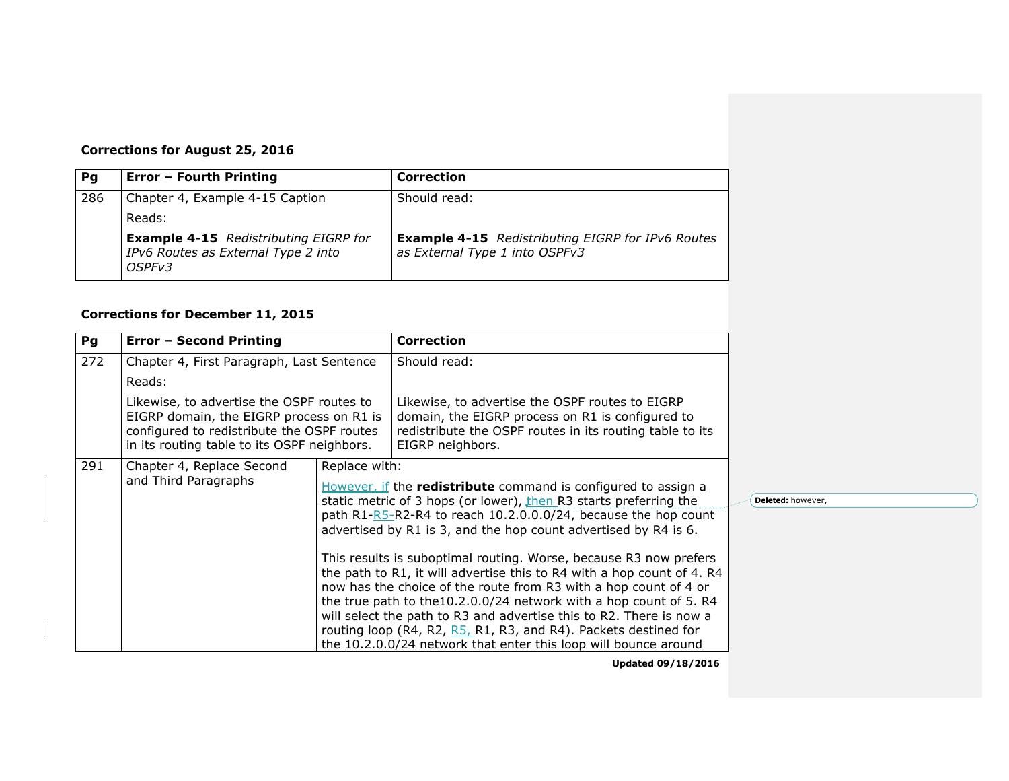# **Corrections for August 25, 2016**

| Pg  | <b>Error - Fourth Printing</b>                                                                | <b>Correction</b>                                                                          |
|-----|-----------------------------------------------------------------------------------------------|--------------------------------------------------------------------------------------------|
| 286 | Chapter 4, Example 4-15 Caption                                                               | Should read:                                                                               |
|     | Reads:                                                                                        |                                                                                            |
|     | <b>Example 4-15</b> Redistributing EIGRP for<br>IPv6 Routes as External Type 2 into<br>OSPFv3 | <b>Example 4-15</b> Redistributing EIGRP for IPv6 Routes<br>as External Type 1 into OSPFv3 |

#### **Corrections for December 11, 2015**

| Pg  | <b>Error - Second Printing</b>                                                                                                                                                     |                                                                                                                                                                                                                                                                             | <b>Correction</b>                                                                                                                                                                                                                                                                                                                                                                                                                                                                                    |
|-----|------------------------------------------------------------------------------------------------------------------------------------------------------------------------------------|-----------------------------------------------------------------------------------------------------------------------------------------------------------------------------------------------------------------------------------------------------------------------------|------------------------------------------------------------------------------------------------------------------------------------------------------------------------------------------------------------------------------------------------------------------------------------------------------------------------------------------------------------------------------------------------------------------------------------------------------------------------------------------------------|
| 272 | Chapter 4, First Paragraph, Last Sentence                                                                                                                                          |                                                                                                                                                                                                                                                                             | Should read:                                                                                                                                                                                                                                                                                                                                                                                                                                                                                         |
|     | Reads:                                                                                                                                                                             |                                                                                                                                                                                                                                                                             |                                                                                                                                                                                                                                                                                                                                                                                                                                                                                                      |
|     | Likewise, to advertise the OSPF routes to<br>EIGRP domain, the EIGRP process on R1 is<br>configured to redistribute the OSPF routes<br>in its routing table to its OSPF neighbors. |                                                                                                                                                                                                                                                                             | Likewise, to advertise the OSPF routes to EIGRP<br>domain, the EIGRP process on R1 is configured to<br>redistribute the OSPF routes in its routing table to its<br>EIGRP neighbors.                                                                                                                                                                                                                                                                                                                  |
| 291 | Chapter 4, Replace Second                                                                                                                                                          | Replace with:                                                                                                                                                                                                                                                               |                                                                                                                                                                                                                                                                                                                                                                                                                                                                                                      |
|     | and Third Paragraphs                                                                                                                                                               | However, if the redistribute command is configured to assign a<br>static metric of 3 hops (or lower), then R3 starts preferring the<br>path R1- $R5-R2-R4$ to reach 10.2.0.0.0/24, because the hop count<br>advertised by R1 is 3, and the hop count advertised by R4 is 6. |                                                                                                                                                                                                                                                                                                                                                                                                                                                                                                      |
|     |                                                                                                                                                                                    |                                                                                                                                                                                                                                                                             | This results is suboptimal routing. Worse, because R3 now prefers<br>the path to R1, it will advertise this to R4 with a hop count of 4. R4<br>now has the choice of the route from R3 with a hop count of 4 or<br>the true path to the $10.2.0.0/24$ network with a hop count of 5. R4<br>will select the path to R3 and advertise this to R2. There is now a<br>routing loop (R4, R2, R5, R1, R3, and R4). Packets destined for<br>the 10.2.0.0/24 network that enter this loop will bounce around |

**Deleted:** however,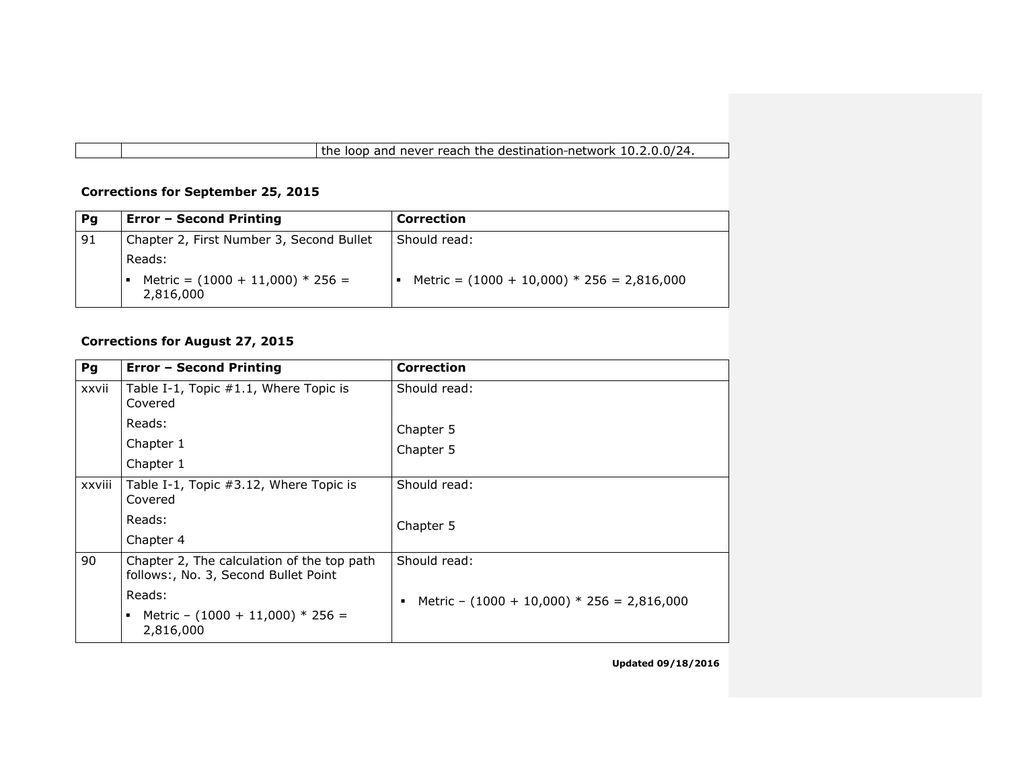the loop and never reach the destination-network 10.2.0.0/24.

#### **Corrections for September 25, 2015**

| Pg | <b>Error - Second Printing</b>                            | <b>Correction</b>                            |
|----|-----------------------------------------------------------|----------------------------------------------|
| 91 | Chapter 2, First Number 3, Second Bullet                  | Should read:                                 |
|    | Reads:<br>Metric = $(1000 + 11,000) * 256 =$<br>2,816,000 | Metric = $(1000 + 10,000) * 256 = 2,816,000$ |

### **Corrections for August 27, 2015**

| Pg     | <b>Error - Second Printing</b>                                                     | <b>Correction</b>                                 |
|--------|------------------------------------------------------------------------------------|---------------------------------------------------|
| xxvii  | Table I-1, Topic #1.1, Where Topic is<br>Covered                                   | Should read:                                      |
|        | Reads:                                                                             | Chapter 5                                         |
|        | Chapter 1                                                                          | Chapter 5                                         |
|        | Chapter 1                                                                          |                                                   |
| xxviii | Table I-1, Topic #3.12, Where Topic is<br>Covered                                  | Should read:                                      |
|        | Reads:                                                                             | Chapter 5                                         |
|        | Chapter 4                                                                          |                                                   |
| 90     | Chapter 2, The calculation of the top path<br>follows:, No. 3, Second Bullet Point | Should read:                                      |
|        | Reads:                                                                             | Metric - $(1000 + 10,000) * 256 = 2,816,000$<br>٠ |
|        | Metric - $(1000 + 11,000) * 256 =$<br>2,816,000                                    |                                                   |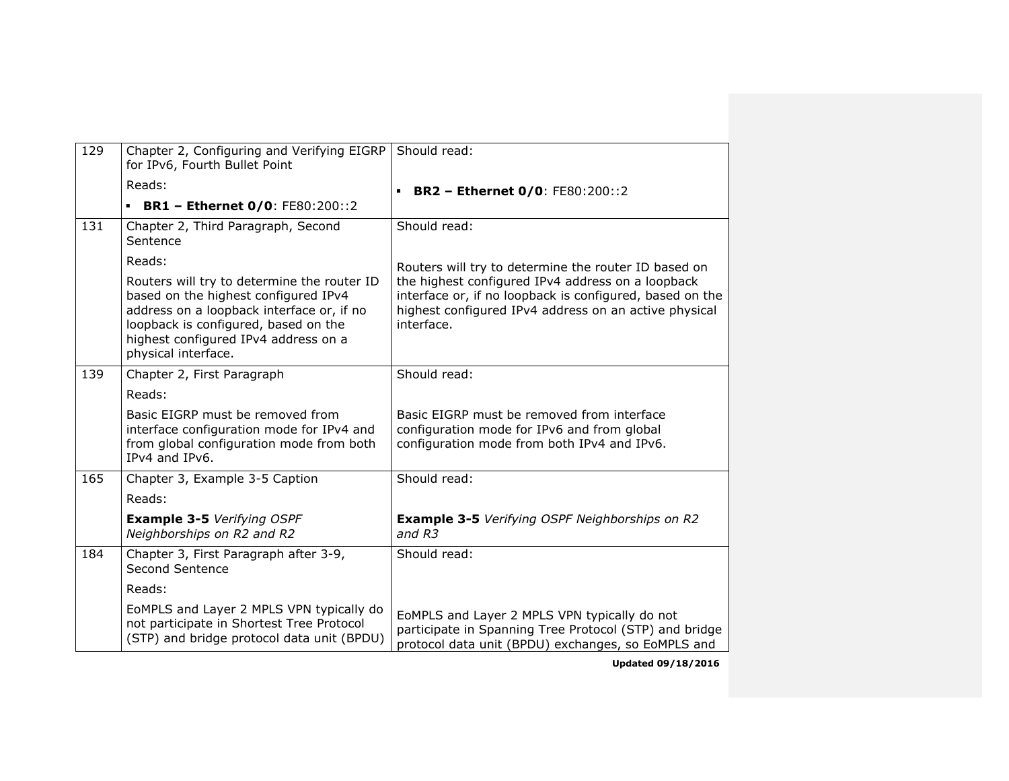| 129 | Chapter 2, Configuring and Verifying EIGRP<br>for IPv6, Fourth Bullet Point                                                                                                                                                             | Should read:                                                                                                                                                                         |
|-----|-----------------------------------------------------------------------------------------------------------------------------------------------------------------------------------------------------------------------------------------|--------------------------------------------------------------------------------------------------------------------------------------------------------------------------------------|
|     | Reads:                                                                                                                                                                                                                                  | <b>BR2 - Ethernet 0/0: FE80:200::2</b>                                                                                                                                               |
|     | <b>BR1 - Ethernet 0/0: FE80:200::2</b>                                                                                                                                                                                                  |                                                                                                                                                                                      |
| 131 | Chapter 2, Third Paragraph, Second<br>Sentence                                                                                                                                                                                          | Should read:                                                                                                                                                                         |
|     | Reads:                                                                                                                                                                                                                                  | Routers will try to determine the router ID based on                                                                                                                                 |
|     | Routers will try to determine the router ID<br>based on the highest configured IPv4<br>address on a loopback interface or, if no<br>loopback is configured, based on the<br>highest configured IPv4 address on a<br>physical interface. | the highest configured IPv4 address on a loopback<br>interface or, if no loopback is configured, based on the<br>highest configured IPv4 address on an active physical<br>interface. |
| 139 | Chapter 2, First Paragraph                                                                                                                                                                                                              | Should read:                                                                                                                                                                         |
|     | Reads:                                                                                                                                                                                                                                  |                                                                                                                                                                                      |
|     | Basic EIGRP must be removed from<br>interface configuration mode for IPv4 and<br>from global configuration mode from both<br>IPv4 and IPv6.                                                                                             | Basic EIGRP must be removed from interface<br>configuration mode for IPv6 and from global<br>configuration mode from both IPv4 and IPv6.                                             |
| 165 | Chapter 3, Example 3-5 Caption                                                                                                                                                                                                          | Should read:                                                                                                                                                                         |
|     | Reads:                                                                                                                                                                                                                                  |                                                                                                                                                                                      |
|     | <b>Example 3-5 Verifying OSPF</b><br>Neighborships on R2 and R2                                                                                                                                                                         | <b>Example 3-5</b> Verifying OSPF Neighborships on R2<br>and R3                                                                                                                      |
| 184 | Chapter 3, First Paragraph after 3-9,<br>Second Sentence                                                                                                                                                                                | Should read:                                                                                                                                                                         |
|     | Reads:                                                                                                                                                                                                                                  |                                                                                                                                                                                      |
|     | EoMPLS and Layer 2 MPLS VPN typically do<br>not participate in Shortest Tree Protocol<br>(STP) and bridge protocol data unit (BPDU)                                                                                                     | EoMPLS and Layer 2 MPLS VPN typically do not<br>participate in Spanning Tree Protocol (STP) and bridge<br>protocol data unit (BPDU) exchanges, so EoMPLS and                         |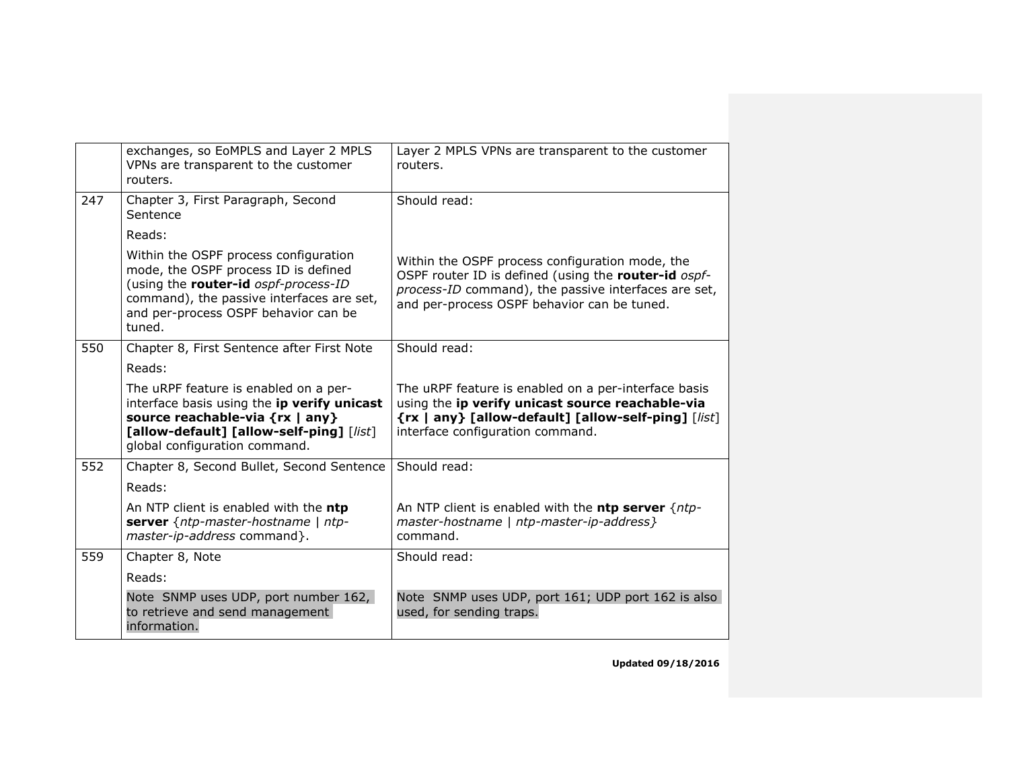|     | exchanges, so EoMPLS and Layer 2 MPLS<br>VPNs are transparent to the customer<br>routers.                                                                                                                            | Layer 2 MPLS VPNs are transparent to the customer<br>routers.                                                                                                                                                  |
|-----|----------------------------------------------------------------------------------------------------------------------------------------------------------------------------------------------------------------------|----------------------------------------------------------------------------------------------------------------------------------------------------------------------------------------------------------------|
| 247 | Chapter 3, First Paragraph, Second<br>Sentence                                                                                                                                                                       | Should read:                                                                                                                                                                                                   |
|     | Reads:                                                                                                                                                                                                               |                                                                                                                                                                                                                |
|     | Within the OSPF process configuration<br>mode, the OSPF process ID is defined<br>(using the router-id ospf-process-ID<br>command), the passive interfaces are set,<br>and per-process OSPF behavior can be<br>tuned. | Within the OSPF process configuration mode, the<br>OSPF router ID is defined (using the router-id ospf-<br>process-ID command), the passive interfaces are set,<br>and per-process OSPF behavior can be tuned. |
| 550 | Chapter 8, First Sentence after First Note                                                                                                                                                                           | Should read:                                                                                                                                                                                                   |
|     | Reads:                                                                                                                                                                                                               |                                                                                                                                                                                                                |
|     | The uRPF feature is enabled on a per-<br>interface basis using the ip verify unicast<br>source reachable-via {rx   any}<br>[allow-default] [allow-self-ping] [list]<br>global configuration command.                 | The uRPF feature is enabled on a per-interface basis<br>using the ip verify unicast source reachable-via<br>{rx   any} [allow-default] [allow-self-ping] [list]<br>interface configuration command.            |
| 552 | Chapter 8, Second Bullet, Second Sentence                                                                                                                                                                            | Should read:                                                                                                                                                                                                   |
|     | Reads:                                                                                                                                                                                                               |                                                                                                                                                                                                                |
|     | An NTP client is enabled with the ntp<br>server {ntp-master-hostname   ntp-<br>master-ip-address command}.                                                                                                           | An NTP client is enabled with the ntp server $\{ntp -$<br>master-hostname   ntp-master-ip-address }<br>command.                                                                                                |
| 559 | Chapter 8, Note                                                                                                                                                                                                      | Should read:                                                                                                                                                                                                   |
|     | Reads:                                                                                                                                                                                                               |                                                                                                                                                                                                                |
|     | Note SNMP uses UDP, port number 162,<br>to retrieve and send management<br>information.                                                                                                                              | Note SNMP uses UDP, port 161; UDP port 162 is also<br>used, for sending traps.                                                                                                                                 |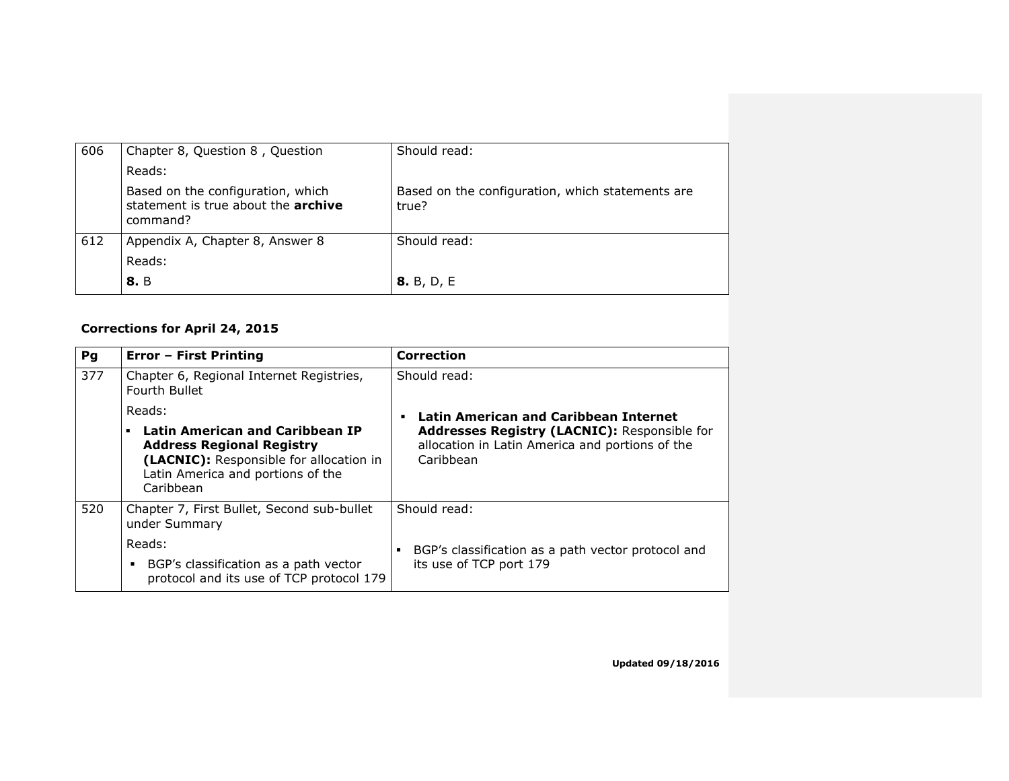| 606 | Chapter 8, Question 8, Question                                                      | Should read:                                              |
|-----|--------------------------------------------------------------------------------------|-----------------------------------------------------------|
|     | Reads:                                                                               |                                                           |
|     | Based on the configuration, which<br>statement is true about the archive<br>command? | Based on the configuration, which statements are<br>true? |
| 612 | Appendix A, Chapter 8, Answer 8                                                      | Should read:                                              |
|     | Reads:                                                                               |                                                           |
|     | <b>8.</b> B                                                                          | <b>8.</b> B, D, E                                         |

### **Corrections for April 24, 2015**

| Pg  | <b>Error - First Printing</b>                                                                                                                                                | <b>Correction</b>                                                                                            |
|-----|------------------------------------------------------------------------------------------------------------------------------------------------------------------------------|--------------------------------------------------------------------------------------------------------------|
| 377 | Chapter 6, Regional Internet Registries,<br>Fourth Bullet                                                                                                                    | Should read:                                                                                                 |
|     | Reads:                                                                                                                                                                       | Latin American and Caribbean Internet                                                                        |
|     | <b>Latin American and Caribbean IP</b><br>٠<br><b>Address Regional Registry</b><br>(LACNIC): Responsible for allocation in<br>Latin America and portions of the<br>Caribbean | Addresses Registry (LACNIC): Responsible for<br>allocation in Latin America and portions of the<br>Caribbean |
| 520 | Chapter 7, First Bullet, Second sub-bullet<br>under Summary                                                                                                                  | Should read:                                                                                                 |
|     | Reads:                                                                                                                                                                       | BGP's classification as a path vector protocol and                                                           |
|     | BGP's classification as a path vector<br>protocol and its use of TCP protocol 179                                                                                            | its use of TCP port 179                                                                                      |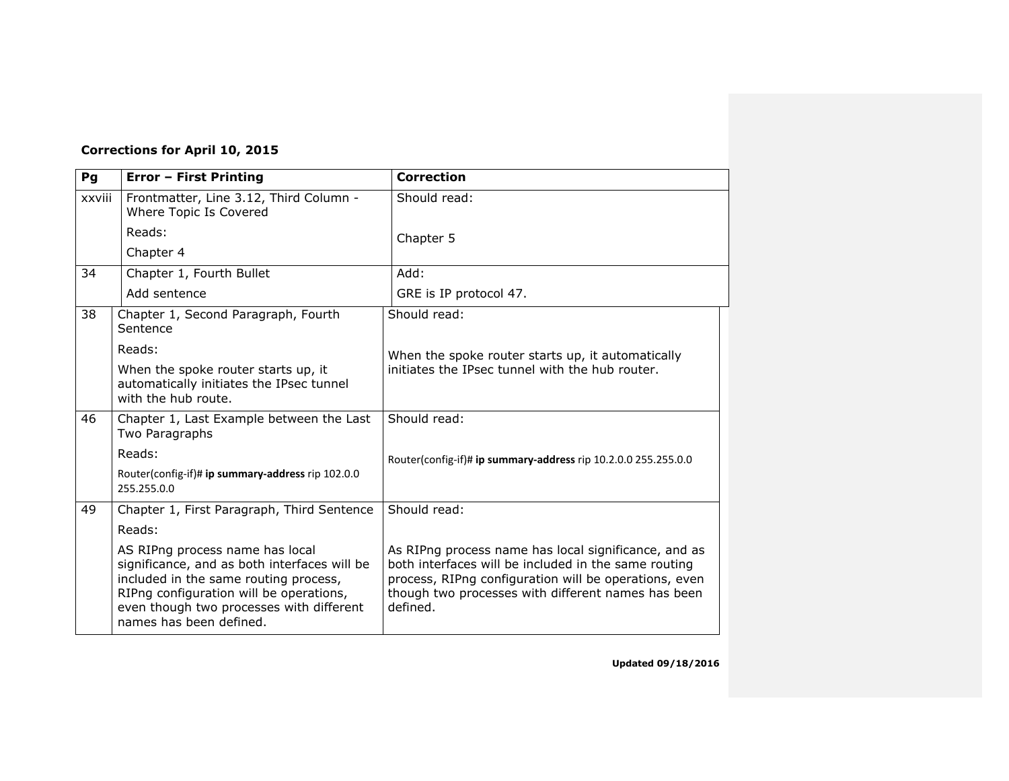### **Corrections for April 10, 2015**

| Pg     | <b>Error - First Printing</b>                                                                                                                                                                                                              | <b>Correction</b>                                                                                                                                                                                                                       |
|--------|--------------------------------------------------------------------------------------------------------------------------------------------------------------------------------------------------------------------------------------------|-----------------------------------------------------------------------------------------------------------------------------------------------------------------------------------------------------------------------------------------|
| xxviii | Frontmatter, Line 3.12, Third Column -<br>Where Topic Is Covered                                                                                                                                                                           | Should read:                                                                                                                                                                                                                            |
|        | Reads:                                                                                                                                                                                                                                     | Chapter 5                                                                                                                                                                                                                               |
|        | Chapter 4                                                                                                                                                                                                                                  |                                                                                                                                                                                                                                         |
| 34     | Chapter 1, Fourth Bullet                                                                                                                                                                                                                   | Add:                                                                                                                                                                                                                                    |
|        | Add sentence                                                                                                                                                                                                                               | GRE is IP protocol 47.                                                                                                                                                                                                                  |
| 38     | Chapter 1, Second Paragraph, Fourth<br>Sentence                                                                                                                                                                                            | Should read:                                                                                                                                                                                                                            |
|        | Reads:                                                                                                                                                                                                                                     | When the spoke router starts up, it automatically                                                                                                                                                                                       |
|        | When the spoke router starts up, it<br>automatically initiates the IPsec tunnel<br>with the hub route.                                                                                                                                     | initiates the IPsec tunnel with the hub router.                                                                                                                                                                                         |
| 46     | Chapter 1, Last Example between the Last<br>Two Paragraphs                                                                                                                                                                                 | Should read:                                                                                                                                                                                                                            |
|        | Reads:                                                                                                                                                                                                                                     | Router(config-if)# ip summary-address rip 10.2.0.0 255.255.0.0                                                                                                                                                                          |
|        | Router(config-if)# ip summary-address rip 102.0.0<br>255.255.0.0                                                                                                                                                                           |                                                                                                                                                                                                                                         |
| 49     | Chapter 1, First Paragraph, Third Sentence                                                                                                                                                                                                 | Should read:                                                                                                                                                                                                                            |
|        | Reads:                                                                                                                                                                                                                                     |                                                                                                                                                                                                                                         |
|        | AS RIPng process name has local<br>significance, and as both interfaces will be<br>included in the same routing process,<br>RIPng configuration will be operations,<br>even though two processes with different<br>names has been defined. | As RIPng process name has local significance, and as<br>both interfaces will be included in the same routing<br>process, RIPng configuration will be operations, even<br>though two processes with different names has been<br>defined. |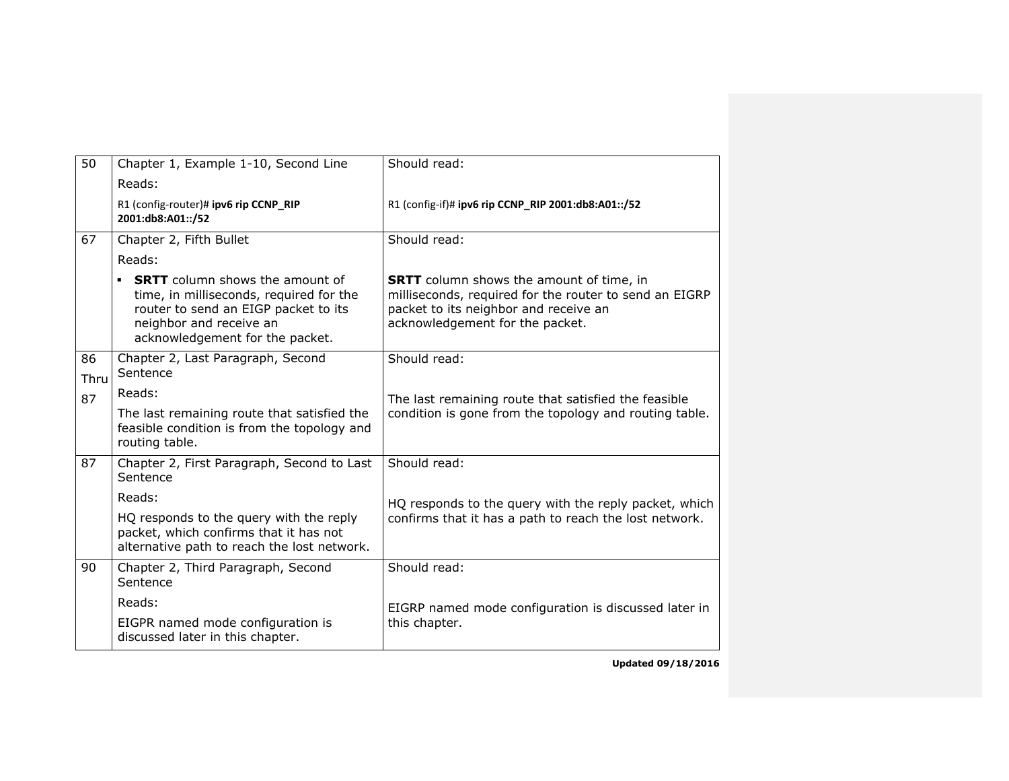| 50         | Chapter 1, Example 1-10, Second Line                                                                                                                                                         | Should read:                                                                                                                                                                          |
|------------|----------------------------------------------------------------------------------------------------------------------------------------------------------------------------------------------|---------------------------------------------------------------------------------------------------------------------------------------------------------------------------------------|
|            | Reads:                                                                                                                                                                                       |                                                                                                                                                                                       |
|            | R1 (config-router)# ipv6 rip CCNP_RIP<br>2001:db8:A01::/52                                                                                                                                   | R1 (config-if)# ipv6 rip CCNP_RIP 2001:db8:A01::/52                                                                                                                                   |
| 67         | Chapter 2, Fifth Bullet                                                                                                                                                                      | Should read:                                                                                                                                                                          |
|            | Reads:                                                                                                                                                                                       |                                                                                                                                                                                       |
|            | <b>SRTT</b> column shows the amount of<br>٠<br>time, in milliseconds, required for the<br>router to send an EIGP packet to its<br>neighbor and receive an<br>acknowledgement for the packet. | <b>SRTT</b> column shows the amount of time, in<br>milliseconds, required for the router to send an EIGRP<br>packet to its neighbor and receive an<br>acknowledgement for the packet. |
| 86<br>Thru | Chapter 2, Last Paragraph, Second<br>Sentence                                                                                                                                                | Should read:                                                                                                                                                                          |
| 87         | Reads:                                                                                                                                                                                       | The last remaining route that satisfied the feasible                                                                                                                                  |
|            | The last remaining route that satisfied the<br>feasible condition is from the topology and<br>routing table.                                                                                 | condition is gone from the topology and routing table.                                                                                                                                |
| 87         | Chapter 2, First Paragraph, Second to Last<br>Sentence                                                                                                                                       | Should read:                                                                                                                                                                          |
|            | Reads:                                                                                                                                                                                       | HQ responds to the query with the reply packet, which                                                                                                                                 |
|            | HQ responds to the query with the reply<br>packet, which confirms that it has not<br>alternative path to reach the lost network.                                                             | confirms that it has a path to reach the lost network.                                                                                                                                |
| 90         | Chapter 2, Third Paragraph, Second<br>Sentence                                                                                                                                               | Should read:                                                                                                                                                                          |
|            | Reads:                                                                                                                                                                                       | EIGRP named mode configuration is discussed later in                                                                                                                                  |
|            | EIGPR named mode configuration is<br>discussed later in this chapter.                                                                                                                        | this chapter.                                                                                                                                                                         |
|            |                                                                                                                                                                                              |                                                                                                                                                                                       |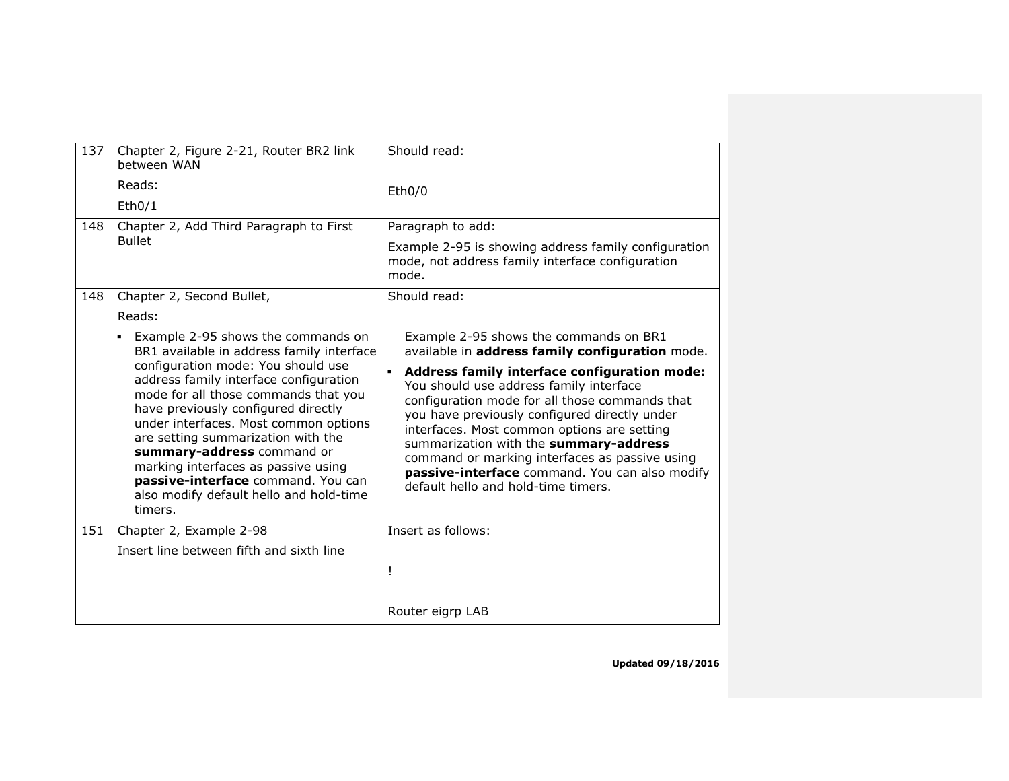| 137 | Chapter 2, Figure 2-21, Router BR2 link<br>between WAN                                                                                                                                                                                                                                                                                                                                                      | Should read:                                                                                                                                                                                                                                                                                                                                                                                                                                     |
|-----|-------------------------------------------------------------------------------------------------------------------------------------------------------------------------------------------------------------------------------------------------------------------------------------------------------------------------------------------------------------------------------------------------------------|--------------------------------------------------------------------------------------------------------------------------------------------------------------------------------------------------------------------------------------------------------------------------------------------------------------------------------------------------------------------------------------------------------------------------------------------------|
|     | Reads:<br>Eth0/1                                                                                                                                                                                                                                                                                                                                                                                            | Eth0/0                                                                                                                                                                                                                                                                                                                                                                                                                                           |
| 148 | Chapter 2, Add Third Paragraph to First<br><b>Bullet</b>                                                                                                                                                                                                                                                                                                                                                    | Paragraph to add:                                                                                                                                                                                                                                                                                                                                                                                                                                |
|     |                                                                                                                                                                                                                                                                                                                                                                                                             | Example 2-95 is showing address family configuration<br>mode, not address family interface configuration<br>mode.                                                                                                                                                                                                                                                                                                                                |
| 148 | Chapter 2, Second Bullet,                                                                                                                                                                                                                                                                                                                                                                                   | Should read:                                                                                                                                                                                                                                                                                                                                                                                                                                     |
|     | Reads:                                                                                                                                                                                                                                                                                                                                                                                                      |                                                                                                                                                                                                                                                                                                                                                                                                                                                  |
|     | Example 2-95 shows the commands on<br>٠<br>BR1 available in address family interface                                                                                                                                                                                                                                                                                                                        | Example 2-95 shows the commands on BR1<br>available in address family configuration mode.                                                                                                                                                                                                                                                                                                                                                        |
|     | configuration mode: You should use<br>address family interface configuration<br>mode for all those commands that you<br>have previously configured directly<br>under interfaces. Most common options<br>are setting summarization with the<br>summary-address command or<br>marking interfaces as passive using<br>passive-interface command. You can<br>also modify default hello and hold-time<br>timers. | Address family interface configuration mode:<br>$\blacksquare$<br>You should use address family interface<br>configuration mode for all those commands that<br>you have previously configured directly under<br>interfaces. Most common options are setting<br>summarization with the summary-address<br>command or marking interfaces as passive using<br>passive-interface command. You can also modify<br>default hello and hold-time timers. |
| 151 | Chapter 2, Example 2-98                                                                                                                                                                                                                                                                                                                                                                                     | Insert as follows:                                                                                                                                                                                                                                                                                                                                                                                                                               |
|     | Insert line between fifth and sixth line                                                                                                                                                                                                                                                                                                                                                                    |                                                                                                                                                                                                                                                                                                                                                                                                                                                  |
|     |                                                                                                                                                                                                                                                                                                                                                                                                             | Ţ                                                                                                                                                                                                                                                                                                                                                                                                                                                |
|     |                                                                                                                                                                                                                                                                                                                                                                                                             | Router eigrp LAB                                                                                                                                                                                                                                                                                                                                                                                                                                 |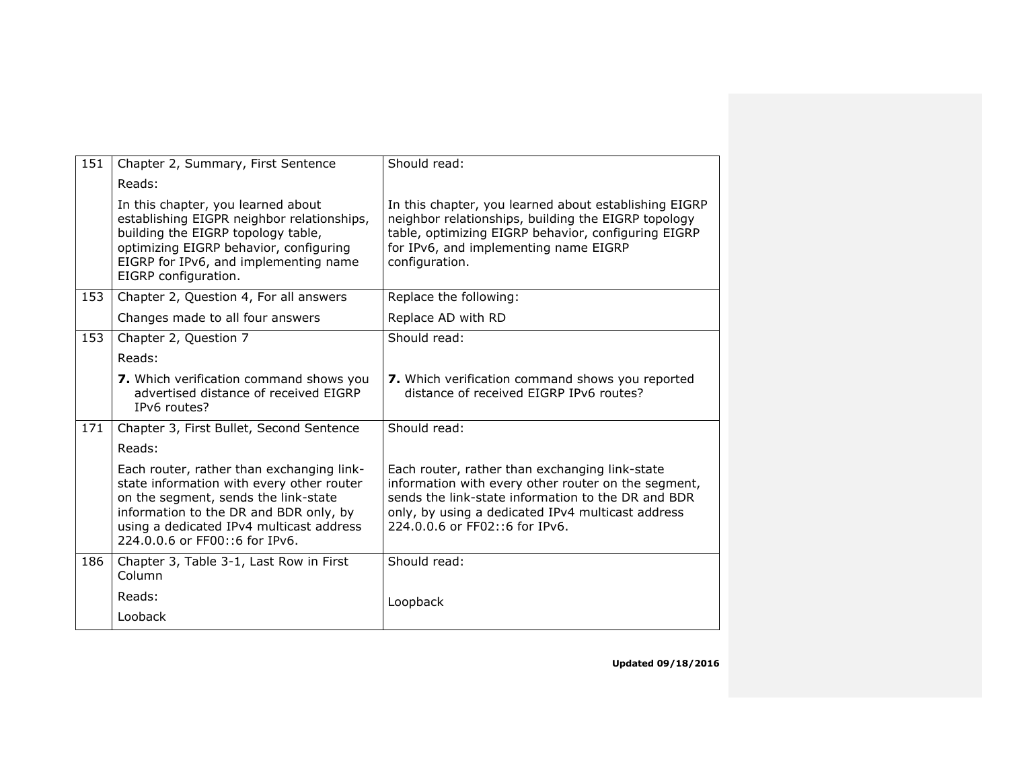| 151 | Chapter 2, Summary, First Sentence                                                                                                                                                                                                                     | Should read:                                                                                                                                                                                                                                       |
|-----|--------------------------------------------------------------------------------------------------------------------------------------------------------------------------------------------------------------------------------------------------------|----------------------------------------------------------------------------------------------------------------------------------------------------------------------------------------------------------------------------------------------------|
|     | Reads:                                                                                                                                                                                                                                                 |                                                                                                                                                                                                                                                    |
|     | In this chapter, you learned about<br>establishing EIGPR neighbor relationships,<br>building the EIGRP topology table,<br>optimizing EIGRP behavior, configuring<br>EIGRP for IPv6, and implementing name<br>EIGRP configuration.                      | In this chapter, you learned about establishing EIGRP<br>neighbor relationships, building the EIGRP topology<br>table, optimizing EIGRP behavior, configuring EIGRP<br>for IPv6, and implementing name EIGRP<br>configuration.                     |
| 153 | Chapter 2, Question 4, For all answers                                                                                                                                                                                                                 | Replace the following:                                                                                                                                                                                                                             |
|     | Changes made to all four answers                                                                                                                                                                                                                       | Replace AD with RD                                                                                                                                                                                                                                 |
| 153 | Chapter 2, Question 7                                                                                                                                                                                                                                  | Should read:                                                                                                                                                                                                                                       |
|     | Reads:                                                                                                                                                                                                                                                 |                                                                                                                                                                                                                                                    |
|     | 7. Which verification command shows you<br>advertised distance of received EIGRP<br>IPv6 routes?                                                                                                                                                       | 7. Which verification command shows you reported<br>distance of received FIGRP IPv6 routes?                                                                                                                                                        |
| 171 | Chapter 3, First Bullet, Second Sentence                                                                                                                                                                                                               | Should read:                                                                                                                                                                                                                                       |
|     | Reads:                                                                                                                                                                                                                                                 |                                                                                                                                                                                                                                                    |
|     | Each router, rather than exchanging link-<br>state information with every other router<br>on the segment, sends the link-state<br>information to the DR and BDR only, by<br>using a dedicated IPv4 multicast address<br>224.0.0.6 or FF00::6 for IPv6. | Each router, rather than exchanging link-state<br>information with every other router on the segment,<br>sends the link-state information to the DR and BDR<br>only, by using a dedicated IPv4 multicast address<br>224.0.0.6 or FF02::6 for IPv6. |
| 186 | Chapter 3, Table 3-1, Last Row in First<br>Column                                                                                                                                                                                                      | Should read:                                                                                                                                                                                                                                       |
|     | Reads:                                                                                                                                                                                                                                                 | Loopback                                                                                                                                                                                                                                           |
|     | Looback                                                                                                                                                                                                                                                |                                                                                                                                                                                                                                                    |
|     |                                                                                                                                                                                                                                                        |                                                                                                                                                                                                                                                    |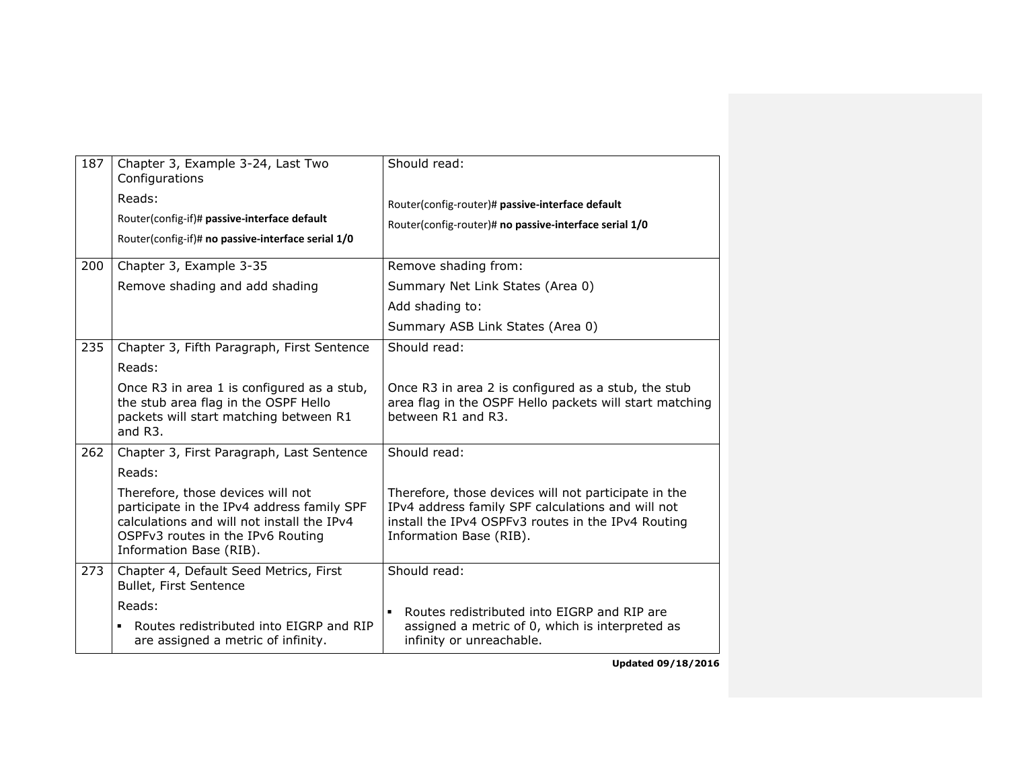| 187 | Chapter 3, Example 3-24, Last Two<br>Configurations<br>Reads:<br>Router(config-if)# passive-interface default<br>Router(config-if)# no passive-interface serial 1/0                           | Should read:<br>Router(config-router)# passive-interface default<br>Router(config-router)# no passive-interface serial 1/0                                                                 |
|-----|-----------------------------------------------------------------------------------------------------------------------------------------------------------------------------------------------|--------------------------------------------------------------------------------------------------------------------------------------------------------------------------------------------|
| 200 | Chapter 3, Example 3-35                                                                                                                                                                       | Remove shading from:                                                                                                                                                                       |
|     | Remove shading and add shading                                                                                                                                                                | Summary Net Link States (Area 0)                                                                                                                                                           |
|     |                                                                                                                                                                                               | Add shading to:                                                                                                                                                                            |
|     |                                                                                                                                                                                               | Summary ASB Link States (Area 0)                                                                                                                                                           |
| 235 | Chapter 3, Fifth Paragraph, First Sentence                                                                                                                                                    | Should read:                                                                                                                                                                               |
|     | Reads:                                                                                                                                                                                        |                                                                                                                                                                                            |
|     | Once R3 in area 1 is configured as a stub,<br>the stub area flag in the OSPF Hello<br>packets will start matching between R1<br>and R3.                                                       | Once R3 in area 2 is configured as a stub, the stub<br>area flag in the OSPF Hello packets will start matching<br>between R1 and R3.                                                       |
| 262 | Chapter 3, First Paragraph, Last Sentence                                                                                                                                                     | Should read:                                                                                                                                                                               |
|     | Reads:                                                                                                                                                                                        |                                                                                                                                                                                            |
|     | Therefore, those devices will not<br>participate in the IPv4 address family SPF<br>calculations and will not install the IPv4<br>OSPFv3 routes in the IPv6 Routing<br>Information Base (RIB). | Therefore, those devices will not participate in the<br>IPv4 address family SPF calculations and will not<br>install the IPv4 OSPFv3 routes in the IPv4 Routing<br>Information Base (RIB). |
| 273 | Chapter 4, Default Seed Metrics, First<br>Bullet, First Sentence                                                                                                                              | Should read:                                                                                                                                                                               |
|     | Reads:<br>Routes redistributed into EIGRP and RIP<br>٠<br>are assigned a metric of infinity.                                                                                                  | Routes redistributed into EIGRP and RIP are<br>assigned a metric of 0, which is interpreted as<br>infinity or unreachable.                                                                 |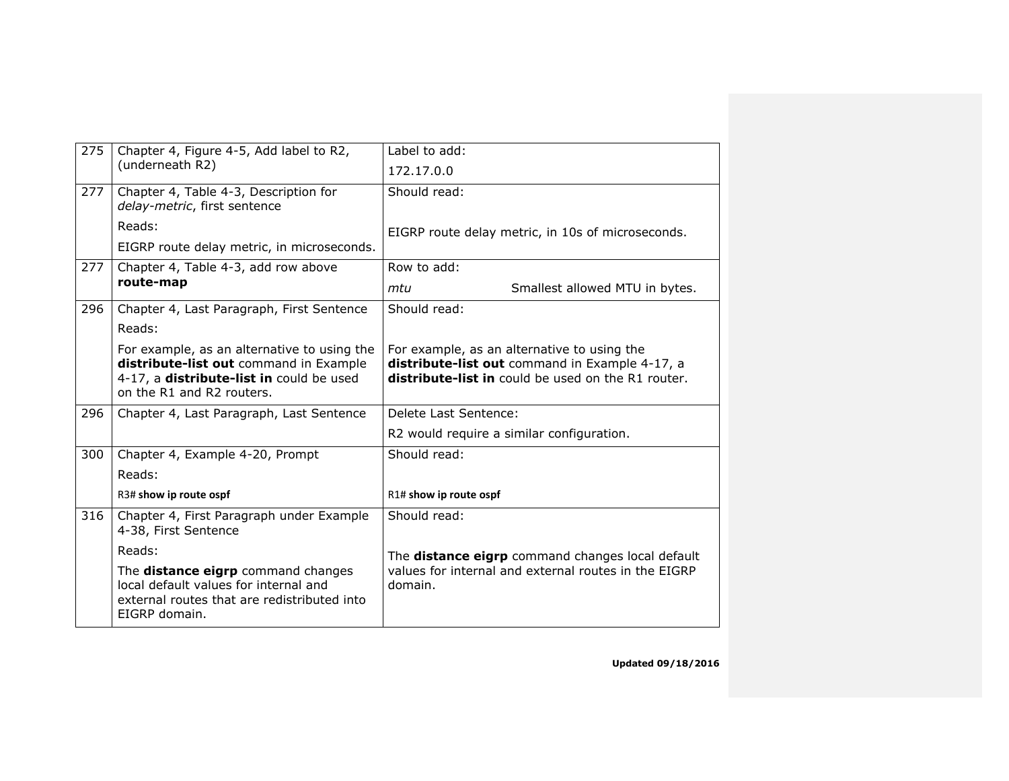| 275 | Chapter 4, Figure 4-5, Add label to R2,<br>(underneath R2)                                                                                                     | Label to add:                                                                                                                                              |
|-----|----------------------------------------------------------------------------------------------------------------------------------------------------------------|------------------------------------------------------------------------------------------------------------------------------------------------------------|
|     |                                                                                                                                                                | 172.17.0.0                                                                                                                                                 |
| 277 | Chapter 4, Table 4-3, Description for<br>delay-metric, first sentence                                                                                          | Should read:                                                                                                                                               |
|     | Reads:                                                                                                                                                         | EIGRP route delay metric, in 10s of microseconds.                                                                                                          |
|     | EIGRP route delay metric, in microseconds.                                                                                                                     |                                                                                                                                                            |
| 277 | Chapter 4, Table 4-3, add row above                                                                                                                            | Row to add:                                                                                                                                                |
|     | route-map                                                                                                                                                      | Smallest allowed MTU in bytes.<br>mtu                                                                                                                      |
| 296 | Chapter 4, Last Paragraph, First Sentence                                                                                                                      | Should read:                                                                                                                                               |
|     | Reads:                                                                                                                                                         |                                                                                                                                                            |
|     | For example, as an alternative to using the<br>distribute-list out command in Example<br>4-17, a distribute-list in could be used<br>on the R1 and R2 routers. | For example, as an alternative to using the<br>distribute-list out command in Example 4-17, a<br><b>distribute-list in</b> could be used on the R1 router. |
| 296 | Chapter 4, Last Paragraph, Last Sentence                                                                                                                       | Delete Last Sentence:                                                                                                                                      |
|     |                                                                                                                                                                | R2 would require a similar configuration.                                                                                                                  |
| 300 | Chapter 4, Example 4-20, Prompt                                                                                                                                | Should read:                                                                                                                                               |
|     | Reads:                                                                                                                                                         |                                                                                                                                                            |
|     | R3# show ip route ospf                                                                                                                                         | R1# show ip route ospf                                                                                                                                     |
| 316 | Chapter 4, First Paragraph under Example<br>4-38, First Sentence                                                                                               | Should read:                                                                                                                                               |
|     | Reads:                                                                                                                                                         | The distance eigrp command changes local default                                                                                                           |
|     | The distance eigrp command changes<br>local default values for internal and<br>external routes that are redistributed into<br>EIGRP domain.                    | values for internal and external routes in the EIGRP<br>domain.                                                                                            |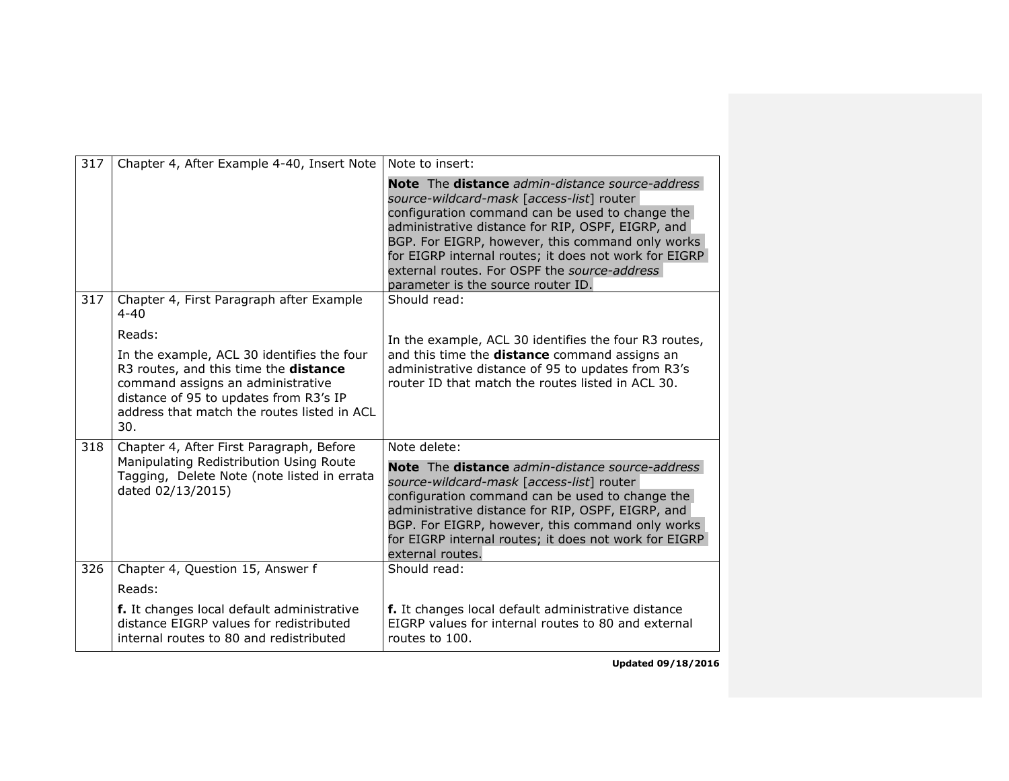| 317 | Chapter 4, After Example 4-40, Insert Note                                                                                                                                                                               | Note to insert:                                                                                                                                                                                                                                                                                                                                                                                         |
|-----|--------------------------------------------------------------------------------------------------------------------------------------------------------------------------------------------------------------------------|---------------------------------------------------------------------------------------------------------------------------------------------------------------------------------------------------------------------------------------------------------------------------------------------------------------------------------------------------------------------------------------------------------|
|     |                                                                                                                                                                                                                          | Note The distance admin-distance source-address<br>source-wildcard-mask [access-list] router<br>configuration command can be used to change the<br>administrative distance for RIP, OSPF, EIGRP, and<br>BGP. For EIGRP, however, this command only works<br>for EIGRP internal routes; it does not work for EIGRP<br>external routes. For OSPF the source-address<br>parameter is the source router ID. |
| 317 | Chapter 4, First Paragraph after Example<br>$4 - 40$                                                                                                                                                                     | Should read:                                                                                                                                                                                                                                                                                                                                                                                            |
|     | Reads:                                                                                                                                                                                                                   | In the example, ACL 30 identifies the four R3 routes,                                                                                                                                                                                                                                                                                                                                                   |
|     | In the example, ACL 30 identifies the four<br>R3 routes, and this time the distance<br>command assigns an administrative<br>distance of 95 to updates from R3's IP<br>address that match the routes listed in ACL<br>30. | and this time the distance command assigns an<br>administrative distance of 95 to updates from R3's<br>router ID that match the routes listed in ACL 30.                                                                                                                                                                                                                                                |
| 318 | Chapter 4, After First Paragraph, Before                                                                                                                                                                                 | Note delete:                                                                                                                                                                                                                                                                                                                                                                                            |
|     | Manipulating Redistribution Using Route<br>Tagging, Delete Note (note listed in errata<br>dated 02/13/2015)                                                                                                              | Note The distance admin-distance source-address<br>source-wildcard-mask [access-list] router<br>configuration command can be used to change the<br>administrative distance for RIP, OSPF, EIGRP, and<br>BGP. For EIGRP, however, this command only works<br>for EIGRP internal routes; it does not work for EIGRP<br>external routes.                                                                   |
| 326 | Chapter 4, Question 15, Answer f                                                                                                                                                                                         | Should read:                                                                                                                                                                                                                                                                                                                                                                                            |
|     | Reads:                                                                                                                                                                                                                   |                                                                                                                                                                                                                                                                                                                                                                                                         |
|     | f. It changes local default administrative<br>distance EIGRP values for redistributed<br>internal routes to 80 and redistributed                                                                                         | f. It changes local default administrative distance<br>EIGRP values for internal routes to 80 and external<br>routes to 100.                                                                                                                                                                                                                                                                            |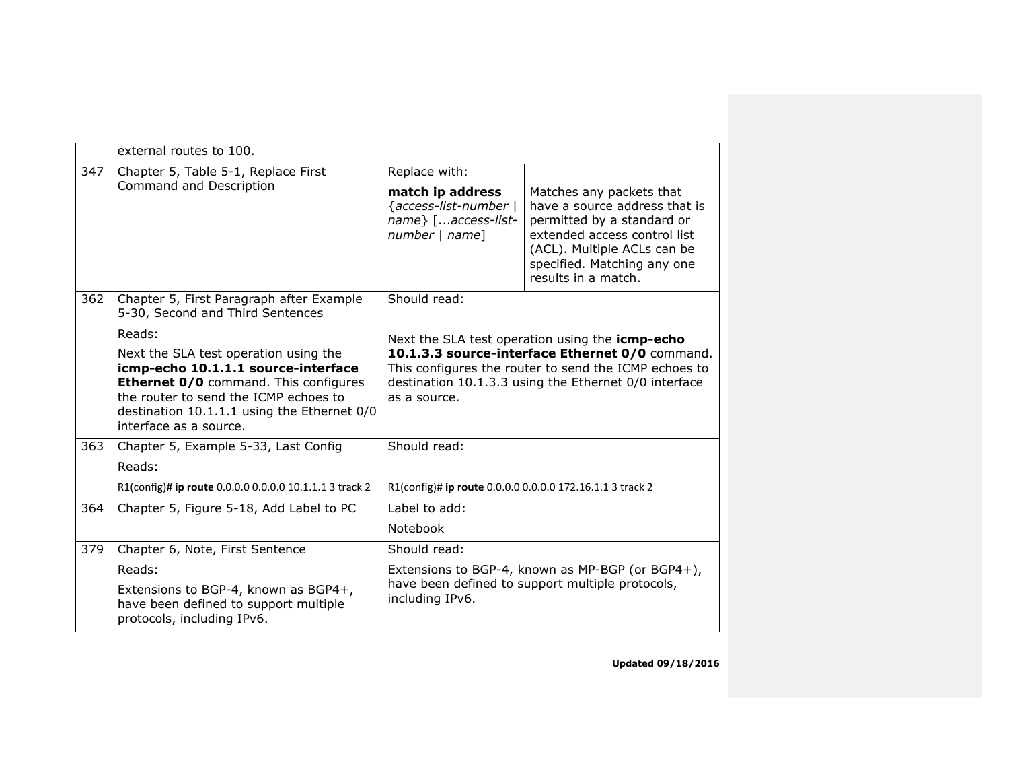|     | external routes to 100.                                                                                                                                                                                                                        |                                                                                                                         |                                                                                                                                                                                                              |
|-----|------------------------------------------------------------------------------------------------------------------------------------------------------------------------------------------------------------------------------------------------|-------------------------------------------------------------------------------------------------------------------------|--------------------------------------------------------------------------------------------------------------------------------------------------------------------------------------------------------------|
| 347 | Chapter 5, Table 5-1, Replace First                                                                                                                                                                                                            | Replace with:                                                                                                           |                                                                                                                                                                                                              |
|     | Command and Description                                                                                                                                                                                                                        | match ip address<br>{access-list-number  <br>name} [access-list-<br>number   name]                                      | Matches any packets that<br>have a source address that is<br>permitted by a standard or<br>extended access control list<br>(ACL). Multiple ACLs can be<br>specified. Matching any one<br>results in a match. |
| 362 | Chapter 5, First Paragraph after Example<br>5-30, Second and Third Sentences                                                                                                                                                                   | Should read:                                                                                                            |                                                                                                                                                                                                              |
|     | Reads:                                                                                                                                                                                                                                         | Next the SLA test operation using the icmp-echo                                                                         |                                                                                                                                                                                                              |
|     | Next the SLA test operation using the<br>icmp-echo 10.1.1.1 source-interface<br><b>Ethernet 0/0</b> command. This configures<br>the router to send the ICMP echoes to<br>destination 10.1.1.1 using the Ethernet 0/0<br>interface as a source. | as a source.                                                                                                            | 10.1.3.3 source-interface Ethernet 0/0 command.<br>This configures the router to send the ICMP echoes to<br>destination 10.1.3.3 using the Ethernet 0/0 interface                                            |
| 363 | Chapter 5, Example 5-33, Last Config                                                                                                                                                                                                           | Should read:                                                                                                            |                                                                                                                                                                                                              |
|     | Reads:                                                                                                                                                                                                                                         |                                                                                                                         |                                                                                                                                                                                                              |
|     | R1(config)# ip route 0.0.0.0 0.0.0.0 10.1.1.1 3 track 2                                                                                                                                                                                        | R1(config)# ip route 0.0.0.0 0.0.0.0 172.16.1.1 3 track 2                                                               |                                                                                                                                                                                                              |
| 364 | Chapter 5, Figure 5-18, Add Label to PC                                                                                                                                                                                                        | Label to add:                                                                                                           |                                                                                                                                                                                                              |
|     |                                                                                                                                                                                                                                                | Notebook                                                                                                                |                                                                                                                                                                                                              |
| 379 | Chapter 6, Note, First Sentence                                                                                                                                                                                                                | Should read:                                                                                                            |                                                                                                                                                                                                              |
|     | Reads:<br>Extensions to BGP-4, known as BGP4+,<br>have been defined to support multiple<br>protocols, including IPv6.                                                                                                                          | Extensions to BGP-4, known as MP-BGP (or BGP4+),<br>have been defined to support multiple protocols,<br>including IPv6. |                                                                                                                                                                                                              |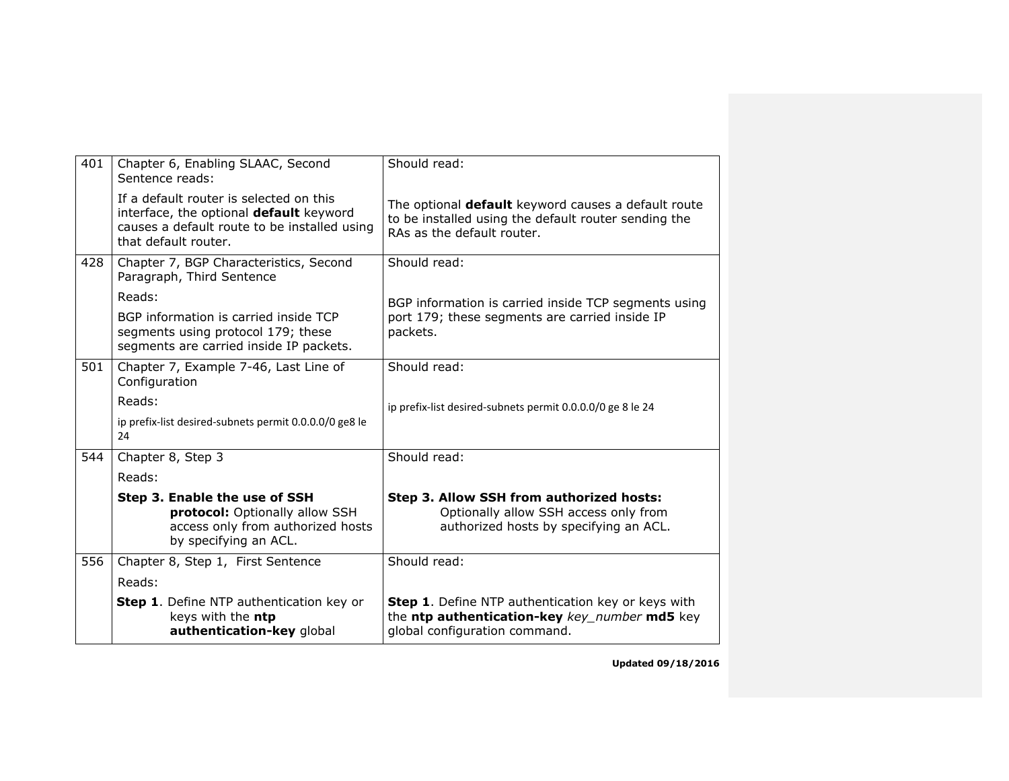| 401 | Chapter 6, Enabling SLAAC, Second<br>Sentence reads:                                                                                                       | Should read:                                                                                                                              |
|-----|------------------------------------------------------------------------------------------------------------------------------------------------------------|-------------------------------------------------------------------------------------------------------------------------------------------|
|     | If a default router is selected on this<br>interface, the optional default keyword<br>causes a default route to be installed using<br>that default router. | The optional default keyword causes a default route<br>to be installed using the default router sending the<br>RAs as the default router. |
| 428 | Chapter 7, BGP Characteristics, Second<br>Paragraph, Third Sentence                                                                                        | Should read:                                                                                                                              |
|     | Reads:                                                                                                                                                     | BGP information is carried inside TCP segments using                                                                                      |
|     | BGP information is carried inside TCP<br>segments using protocol 179; these<br>segments are carried inside IP packets.                                     | port 179; these segments are carried inside IP<br>packets.                                                                                |
| 501 | Chapter 7, Example 7-46, Last Line of<br>Configuration                                                                                                     | Should read:                                                                                                                              |
|     | Reads:                                                                                                                                                     | ip prefix-list desired-subnets permit 0.0.0.0/0 ge 8 le 24                                                                                |
|     | ip prefix-list desired-subnets permit 0.0.0.0/0 ge8 le<br>24                                                                                               |                                                                                                                                           |
| 544 | Chapter 8, Step 3                                                                                                                                          | Should read:                                                                                                                              |
|     | Reads:                                                                                                                                                     |                                                                                                                                           |
|     | Step 3. Enable the use of SSH<br>protocol: Optionally allow SSH<br>access only from authorized hosts<br>by specifying an ACL.                              | Step 3. Allow SSH from authorized hosts:<br>Optionally allow SSH access only from<br>authorized hosts by specifying an ACL.               |
| 556 | Chapter 8, Step 1, First Sentence                                                                                                                          | Should read:                                                                                                                              |
|     | Reads:                                                                                                                                                     |                                                                                                                                           |
|     | Step 1. Define NTP authentication key or<br>keys with the ntp<br>authentication-key global                                                                 | Step 1. Define NTP authentication key or keys with<br>the ntp authentication-key key_number md5 key<br>global configuration command.      |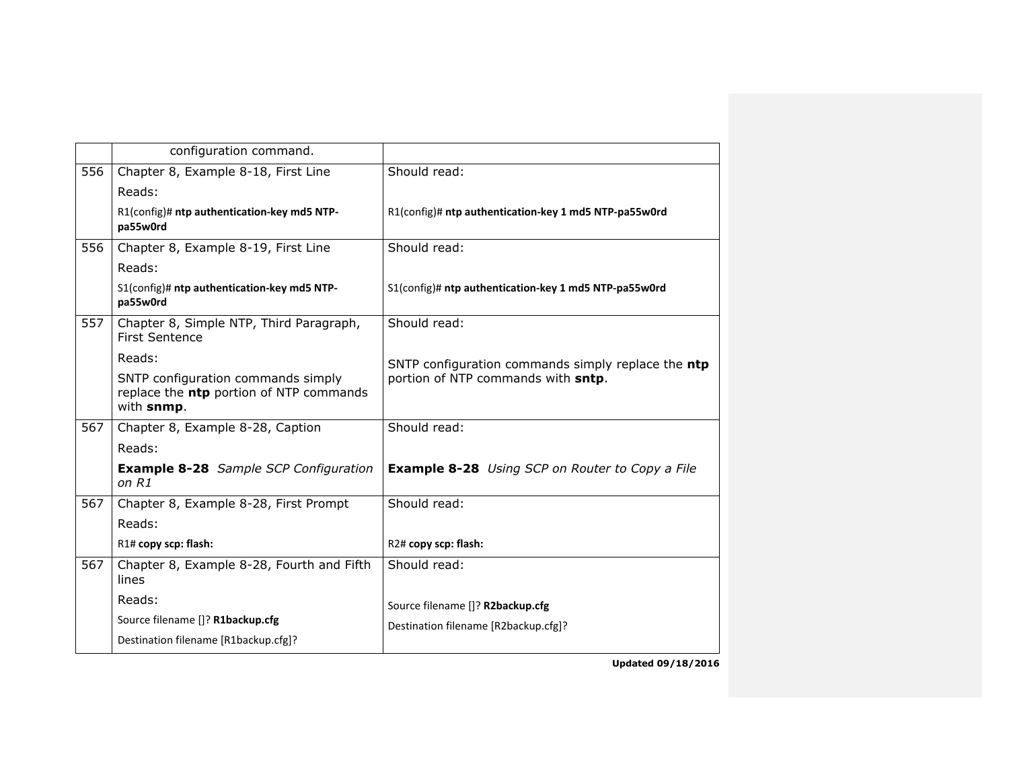| configuration command.                                                                      |                                                        |
|---------------------------------------------------------------------------------------------|--------------------------------------------------------|
| Chapter 8, Example 8-18, First Line                                                         | Should read:                                           |
| Reads:                                                                                      |                                                        |
| R1(config)# ntp authentication-key md5 NTP-<br>pa55w0rd                                     | R1(config)# ntp authentication-key 1 md5 NTP-pa55w0rd  |
| Chapter 8, Example 8-19, First Line                                                         | Should read:                                           |
| Reads:                                                                                      |                                                        |
| S1(config)# ntp authentication-key md5 NTP-<br>pa55w0rd                                     | S1(config)# ntp authentication-key 1 md5 NTP-pa55w0rd  |
| Chapter 8, Simple NTP, Third Paragraph,<br><b>First Sentence</b>                            | Should read:                                           |
| Reads:                                                                                      | SNTP configuration commands simply replace the ntp     |
| SNTP configuration commands simply<br>replace the ntp portion of NTP commands<br>with snmp. | portion of NTP commands with sntp.                     |
| Chapter 8, Example 8-28, Caption                                                            | Should read:                                           |
| Reads:                                                                                      |                                                        |
| <b>Example 8-28</b> Sample SCP Configuration<br>on R1                                       | <b>Example 8-28</b> Using SCP on Router to Copy a File |
| Chapter 8, Example 8-28, First Prompt                                                       | Should read:                                           |
| Reads:                                                                                      |                                                        |
| R1# copy scp: flash:                                                                        | R2# copy scp: flash:                                   |
| Chapter 8, Example 8-28, Fourth and Fifth<br>lines                                          | Should read:                                           |
| Reads:                                                                                      | Source filename []? R2backup.cfg                       |
| Source filename []? R1backup.cfg                                                            | Destination filename [R2backup.cfg]?                   |
| Destination filename [R1backup.cfg]?                                                        |                                                        |
|                                                                                             |                                                        |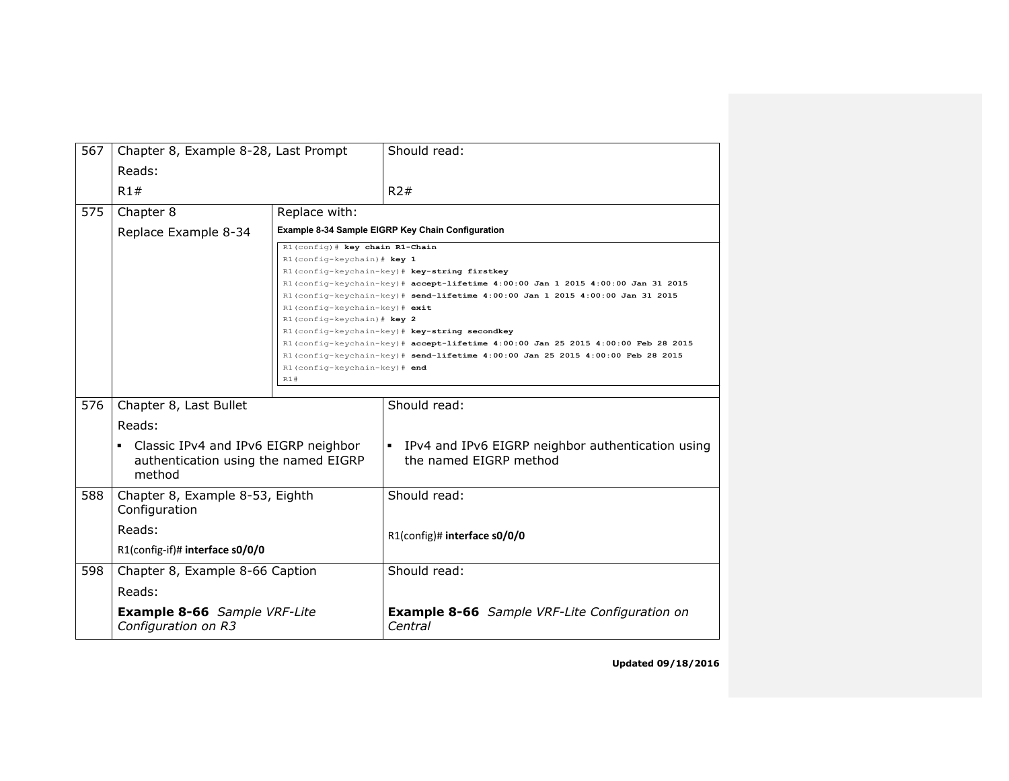| 567 | Chapter 8, Example 8-28, Last Prompt                       |                                                               | Should read:                                                                     |
|-----|------------------------------------------------------------|---------------------------------------------------------------|----------------------------------------------------------------------------------|
|     | Reads:                                                     |                                                               |                                                                                  |
|     | R1#                                                        |                                                               | R2#                                                                              |
| 575 | Chapter 8                                                  | Replace with:                                                 |                                                                                  |
|     | Replace Example 8-34                                       |                                                               | Example 8-34 Sample EIGRP Key Chain Configuration                                |
|     |                                                            | R1(config)# key chain R1-Chain                                |                                                                                  |
|     |                                                            | R1 (config-keychain) # key 1                                  |                                                                                  |
|     |                                                            |                                                               | R1(config-keychain-key)# key-string firstkey                                     |
|     |                                                            |                                                               | R1(config-keychain-key)# accept-lifetime 4:00:00 Jan 1 2015 4:00:00 Jan 31 2015  |
|     |                                                            |                                                               | R1(config-keychain-key)# send-lifetime 4:00:00 Jan 1 2015 4:00:00 Jan 31 2015    |
|     |                                                            | R1(config-keychain-key)# exit<br>R1 (config-keychain) # key 2 |                                                                                  |
|     |                                                            |                                                               | R1(config-keychain-key)# key-string secondkey                                    |
|     |                                                            |                                                               | R1(config-keychain-key)# accept-lifetime 4:00:00 Jan 25 2015 4:00:00 Feb 28 2015 |
|     |                                                            |                                                               | R1(config-keychain-key)# send-lifetime 4:00:00 Jan 25 2015 4:00:00 Feb 28 2015   |
|     |                                                            | R1(config-keychain-key)# end                                  |                                                                                  |
|     |                                                            | R1#                                                           |                                                                                  |
|     |                                                            |                                                               |                                                                                  |
| 576 | Chapter 8, Last Bullet                                     |                                                               | Should read:                                                                     |
|     | Reads:                                                     |                                                               |                                                                                  |
|     | Classic IPv4 and IPv6 EIGRP neighbor<br>٠                  |                                                               | IPv4 and IPv6 EIGRP neighbor authentication using<br>$\blacksquare$              |
|     | authentication using the named EIGRP                       |                                                               | the named EIGRP method                                                           |
|     | method                                                     |                                                               |                                                                                  |
| 588 | Chapter 8, Example 8-53, Eighth                            |                                                               | Should read:                                                                     |
|     | Configuration                                              |                                                               |                                                                                  |
|     |                                                            |                                                               |                                                                                  |
|     | Reads:                                                     |                                                               | R1(config)# interface s0/0/0                                                     |
|     | R1(config-if)# interface s0/0/0                            |                                                               |                                                                                  |
| 598 | Chapter 8, Example 8-66 Caption                            |                                                               | Should read:                                                                     |
|     | Reads:                                                     |                                                               |                                                                                  |
|     | <b>Example 8-66</b> Sample VRF-Lite<br>Configuration on R3 |                                                               | <b>Example 8-66</b> Sample VRF-Lite Configuration on<br>Central                  |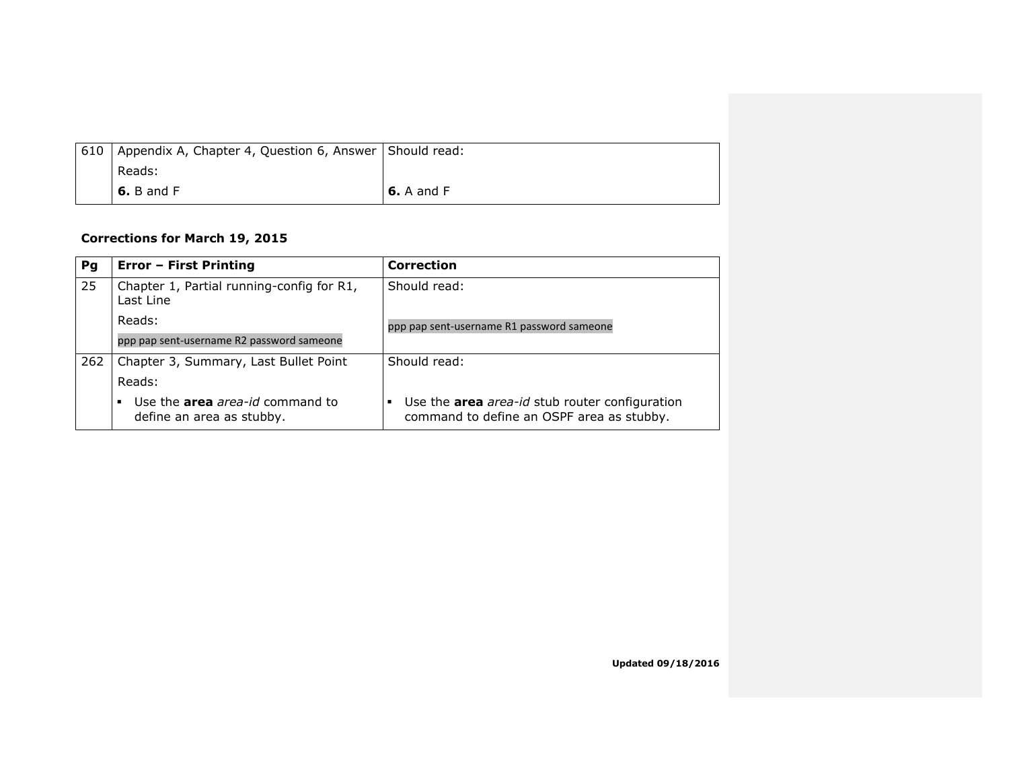| 610 | Appendix A, Chapter 4, Question 6, Answer Should read: |                   |
|-----|--------------------------------------------------------|-------------------|
|     | Reads:                                                 |                   |
|     | $6. B$ and F                                           | <b>6.</b> A and F |

### **Corrections for March 19, 2015**

| Pg  | <b>Error - First Printing</b>                                            | <b>Correction</b>                                                                           |
|-----|--------------------------------------------------------------------------|---------------------------------------------------------------------------------------------|
| 25  | Chapter 1, Partial running-config for R1,<br>Last Line                   | Should read:                                                                                |
|     | Reads:                                                                   | ppp pap sent-username R1 password sameone                                                   |
|     | ppp pap sent-username R2 password sameone                                |                                                                                             |
| 262 | Chapter 3, Summary, Last Bullet Point                                    | Should read:                                                                                |
|     | Reads:                                                                   |                                                                                             |
|     | Use the <b>area</b> area-id command to<br>٠<br>define an area as stubby. | Use the area area-id stub router configuration<br>command to define an OSPF area as stubby. |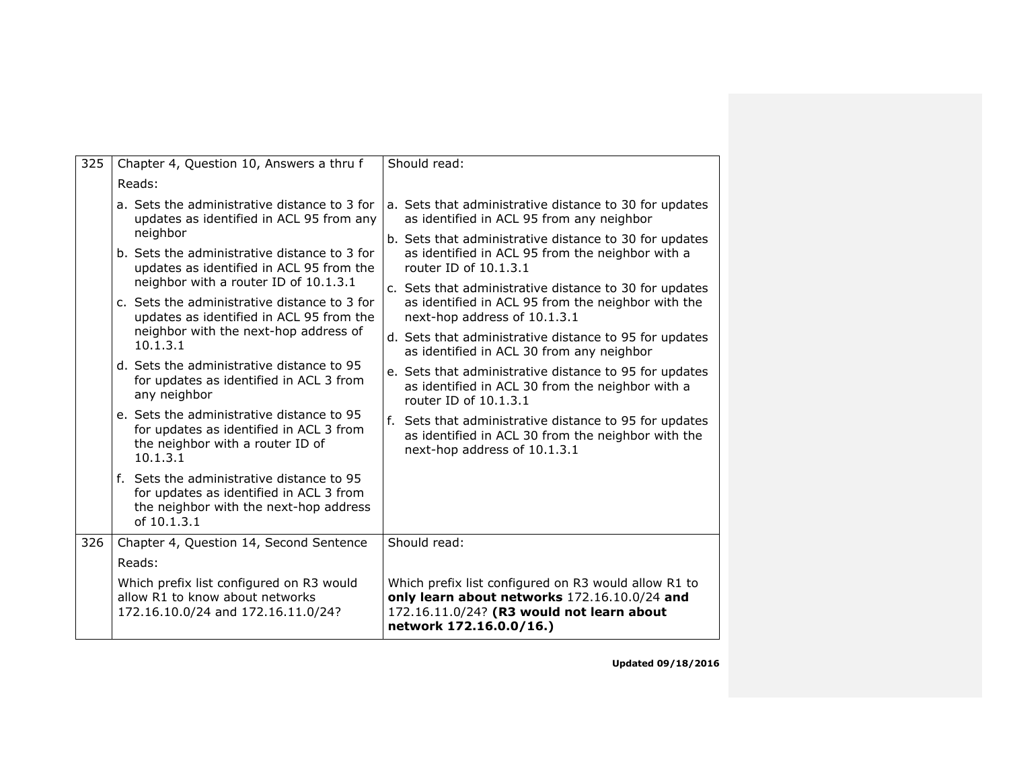| 325 | Chapter 4, Question 10, Answers a thru f                                                                                                      | Should read:                                                                                                                                                                 |
|-----|-----------------------------------------------------------------------------------------------------------------------------------------------|------------------------------------------------------------------------------------------------------------------------------------------------------------------------------|
|     | Reads:                                                                                                                                        |                                                                                                                                                                              |
|     | a. Sets the administrative distance to 3 for<br>updates as identified in ACL 95 from any                                                      | a. Sets that administrative distance to 30 for updates<br>as identified in ACL 95 from any neighbor                                                                          |
|     | neighbor<br>b. Sets the administrative distance to 3 for<br>updates as identified in ACL 95 from the<br>neighbor with a router ID of 10.1.3.1 | b. Sets that administrative distance to 30 for updates<br>as identified in ACL 95 from the neighbor with a<br>router ID of 10.1.3.1                                          |
|     | c. Sets the administrative distance to 3 for<br>updates as identified in ACL 95 from the                                                      | c. Sets that administrative distance to 30 for updates<br>as identified in ACL 95 from the neighbor with the<br>next-hop address of 10.1.3.1                                 |
|     | neighbor with the next-hop address of<br>10.1.3.1                                                                                             | d. Sets that administrative distance to 95 for updates<br>as identified in ACL 30 from any neighbor                                                                          |
|     | d. Sets the administrative distance to 95<br>for updates as identified in ACL 3 from<br>any neighbor                                          | e. Sets that administrative distance to 95 for updates<br>as identified in ACL 30 from the neighbor with a<br>router ID of 10.1.3.1                                          |
|     | e. Sets the administrative distance to 95<br>for updates as identified in ACL 3 from<br>the neighbor with a router ID of<br>10.1.3.1          | f. Sets that administrative distance to 95 for updates<br>as identified in ACL 30 from the neighbor with the<br>next-hop address of 10.1.3.1                                 |
|     | f. Sets the administrative distance to 95<br>for updates as identified in ACL 3 from<br>the neighbor with the next-hop address<br>of 10.1.3.1 |                                                                                                                                                                              |
| 326 | Chapter 4, Question 14, Second Sentence                                                                                                       | Should read:                                                                                                                                                                 |
|     | Reads:                                                                                                                                        |                                                                                                                                                                              |
|     | Which prefix list configured on R3 would<br>allow R1 to know about networks<br>172.16.10.0/24 and 172.16.11.0/24?                             | Which prefix list configured on R3 would allow R1 to<br>only learn about networks 172.16.10.0/24 and<br>172.16.11.0/24? (R3 would not learn about<br>network 172.16.0.0/16.) |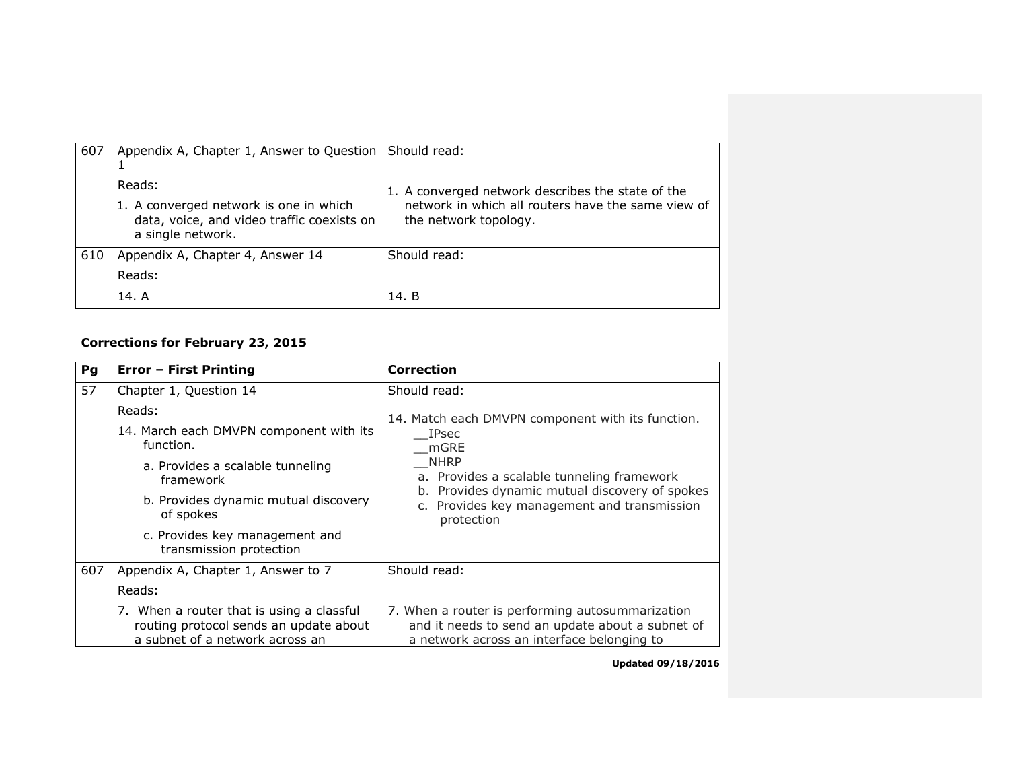| 607 | Appendix A, Chapter 1, Answer to Question                                                                           | Should read:                                                                                                                     |
|-----|---------------------------------------------------------------------------------------------------------------------|----------------------------------------------------------------------------------------------------------------------------------|
|     | Reads:<br>1. A converged network is one in which<br>data, voice, and video traffic coexists on<br>a single network. | 1. A converged network describes the state of the<br>network in which all routers have the same view of<br>the network topology. |
| 610 | Appendix A, Chapter 4, Answer 14<br>Reads:<br>14. A                                                                 | Should read:<br>14. B                                                                                                            |

# **Corrections for February 23, 2015**

| Pg  | <b>Error - First Printing</b>                                                                                                                           | <b>Correction</b>                                                                                                                                                                                                                       |
|-----|---------------------------------------------------------------------------------------------------------------------------------------------------------|-----------------------------------------------------------------------------------------------------------------------------------------------------------------------------------------------------------------------------------------|
| 57  | Chapter 1, Question 14                                                                                                                                  | Should read:                                                                                                                                                                                                                            |
|     | Reads:<br>14. March each DMVPN component with its<br>function.<br>a. Provides a scalable tunneling<br>framework<br>b. Provides dynamic mutual discovery | 14. Match each DMVPN component with its function.<br><b>IPsec</b><br>mGRE<br><b>NHRP</b><br>a. Provides a scalable tunneling framework<br>b. Provides dynamic mutual discovery of spokes<br>c. Provides key management and transmission |
|     | of spokes<br>c. Provides key management and<br>transmission protection                                                                                  | protection                                                                                                                                                                                                                              |
| 607 | Appendix A, Chapter 1, Answer to 7                                                                                                                      | Should read:                                                                                                                                                                                                                            |
|     | Reads:                                                                                                                                                  |                                                                                                                                                                                                                                         |
|     | 7. When a router that is using a classful<br>routing protocol sends an update about<br>a subnet of a network across an                                  | 7. When a router is performing autosummarization<br>and it needs to send an update about a subnet of<br>a network across an interface belonging to                                                                                      |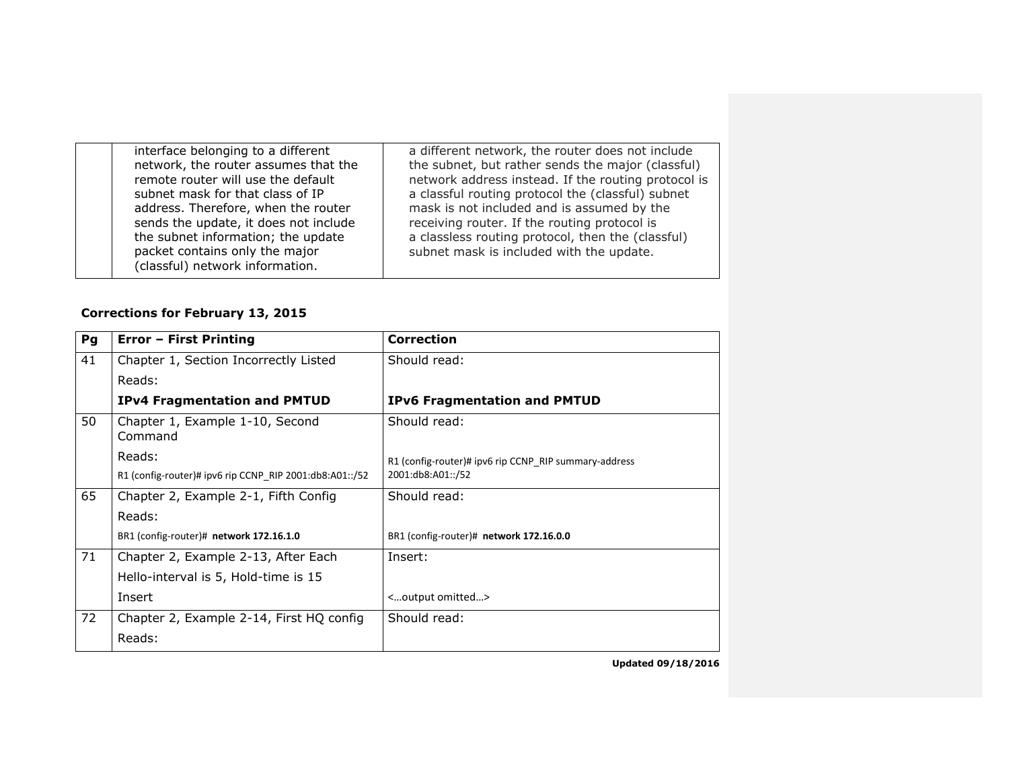| interface belonging to a different<br>network, the router assumes that the<br>remote router will use the default<br>subnet mask for that class of IP<br>address. Therefore, when the router<br>sends the update, it does not include<br>the subnet information; the update<br>packet contains only the major<br>(classful) network information. | a different network, the router does not include<br>the subnet, but rather sends the major (classful)<br>network address instead. If the routing protocol is<br>a classful routing protocol the (classful) subnet<br>mask is not included and is assumed by the<br>receiving router. If the routing protocol is<br>a classless routing protocol, then the (classful)<br>subnet mask is included with the update. |
|-------------------------------------------------------------------------------------------------------------------------------------------------------------------------------------------------------------------------------------------------------------------------------------------------------------------------------------------------|------------------------------------------------------------------------------------------------------------------------------------------------------------------------------------------------------------------------------------------------------------------------------------------------------------------------------------------------------------------------------------------------------------------|
|                                                                                                                                                                                                                                                                                                                                                 |                                                                                                                                                                                                                                                                                                                                                                                                                  |

### **Corrections for February 13, 2015**

| Pg | Error - First Printing                                  | <b>Correction</b>                                     |
|----|---------------------------------------------------------|-------------------------------------------------------|
| 41 | Chapter 1, Section Incorrectly Listed                   | Should read:                                          |
|    | Reads:                                                  |                                                       |
|    | <b>IPv4 Fragmentation and PMTUD</b>                     | <b>IPv6 Fragmentation and PMTUD</b>                   |
| 50 | Chapter 1, Example 1-10, Second<br>Command              | Should read:                                          |
|    | Reads:                                                  | R1 (config-router)# ipv6 rip CCNP RIP summary-address |
|    | R1 (config-router)# ipv6 rip CCNP RIP 2001:db8:A01::/52 | 2001:db8:A01::/52                                     |
| 65 | Chapter 2, Example 2-1, Fifth Config                    | Should read:                                          |
|    | Reads:                                                  |                                                       |
|    | BR1 (config-router)# network 172.16.1.0                 | BR1 (config-router)# network 172.16.0.0               |
| 71 | Chapter 2, Example 2-13, After Each                     | Insert:                                               |
|    | Hello-interval is 5, Hold-time is 15                    |                                                       |
|    | Insert                                                  | <output omitted=""></output>                          |
| 72 | Chapter 2, Example 2-14, First HQ config                | Should read:                                          |
|    | Reads:                                                  |                                                       |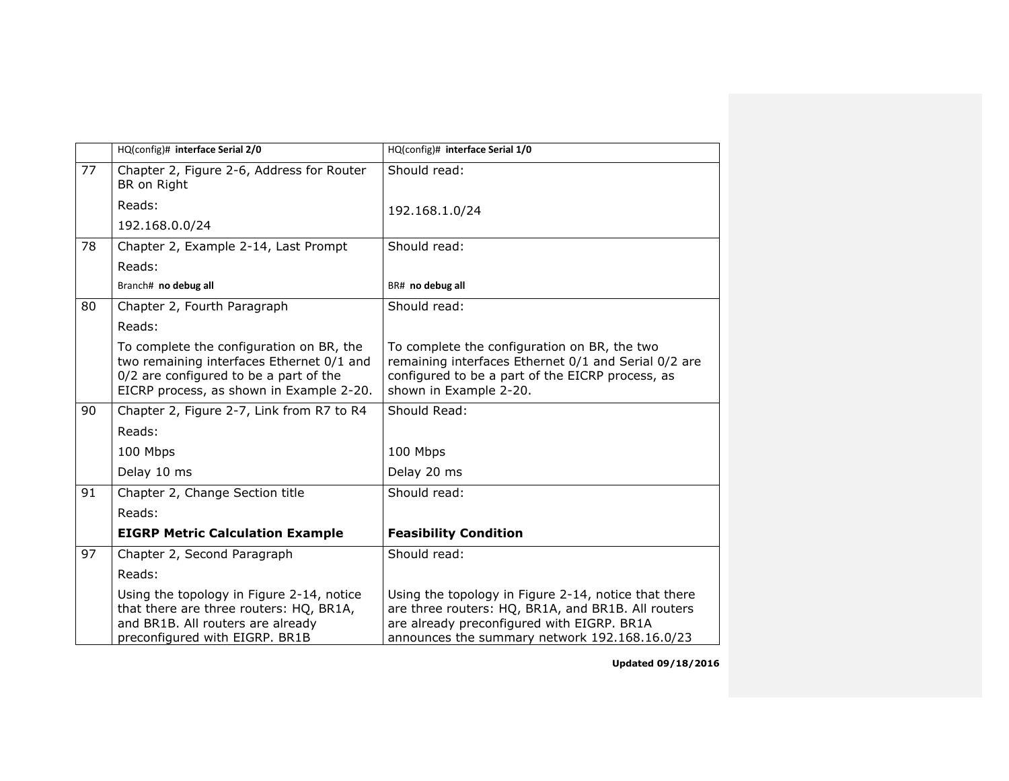|    | HQ(config)# interface Serial 2/0                                                                                                                                            | HQ(config)# interface Serial 1/0                                                                                                                                                                          |
|----|-----------------------------------------------------------------------------------------------------------------------------------------------------------------------------|-----------------------------------------------------------------------------------------------------------------------------------------------------------------------------------------------------------|
| 77 | Chapter 2, Figure 2-6, Address for Router<br>BR on Right                                                                                                                    | Should read:                                                                                                                                                                                              |
|    | Reads:                                                                                                                                                                      | 192.168.1.0/24                                                                                                                                                                                            |
|    | 192.168.0.0/24                                                                                                                                                              |                                                                                                                                                                                                           |
| 78 | Chapter 2, Example 2-14, Last Prompt                                                                                                                                        | Should read:                                                                                                                                                                                              |
|    | Reads:                                                                                                                                                                      |                                                                                                                                                                                                           |
|    | Branch# no debug all                                                                                                                                                        | BR# no debug all                                                                                                                                                                                          |
| 80 | Chapter 2, Fourth Paragraph                                                                                                                                                 | Should read:                                                                                                                                                                                              |
|    | Reads:                                                                                                                                                                      |                                                                                                                                                                                                           |
|    | To complete the configuration on BR, the<br>two remaining interfaces Ethernet 0/1 and<br>0/2 are configured to be a part of the<br>EICRP process, as shown in Example 2-20. | To complete the configuration on BR, the two<br>remaining interfaces Ethernet 0/1 and Serial 0/2 are<br>configured to be a part of the EICRP process, as<br>shown in Example 2-20.                        |
| 90 | Chapter 2, Figure 2-7, Link from R7 to R4                                                                                                                                   | Should Read:                                                                                                                                                                                              |
|    | Reads:                                                                                                                                                                      |                                                                                                                                                                                                           |
|    | 100 Mbps                                                                                                                                                                    | 100 Mbps                                                                                                                                                                                                  |
|    | Delay 10 ms                                                                                                                                                                 | Delay 20 ms                                                                                                                                                                                               |
| 91 | Chapter 2, Change Section title                                                                                                                                             | Should read:                                                                                                                                                                                              |
|    | Reads:                                                                                                                                                                      |                                                                                                                                                                                                           |
|    | <b>EIGRP Metric Calculation Example</b>                                                                                                                                     | <b>Feasibility Condition</b>                                                                                                                                                                              |
| 97 | Chapter 2, Second Paragraph                                                                                                                                                 | Should read:                                                                                                                                                                                              |
|    | Reads:                                                                                                                                                                      |                                                                                                                                                                                                           |
|    | Using the topology in Figure 2-14, notice<br>that there are three routers: HQ, BR1A,<br>and BR1B. All routers are already<br>preconfigured with EIGRP. BR1B                 | Using the topology in Figure 2-14, notice that there<br>are three routers: HQ, BR1A, and BR1B. All routers<br>are already preconfigured with EIGRP. BR1A<br>announces the summary network 192.168.16.0/23 |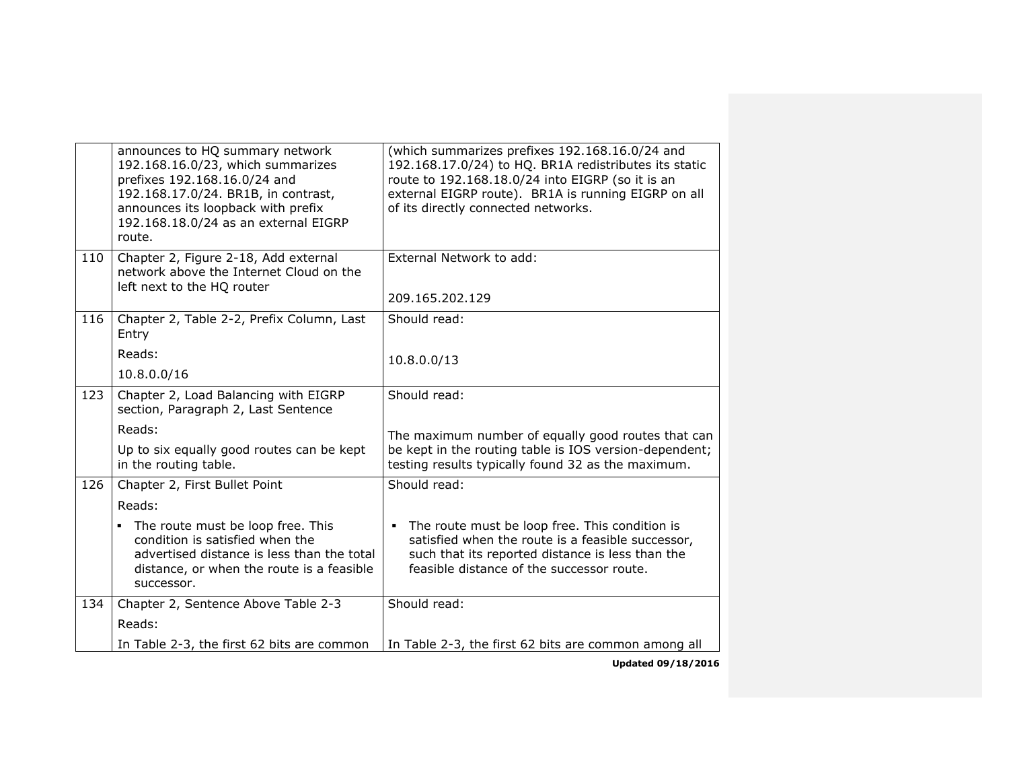|     | announces to HQ summary network<br>192.168.16.0/23, which summarizes<br>prefixes 192.168.16.0/24 and<br>192.168.17.0/24. BR1B, in contrast,<br>announces its loopback with prefix<br>192.168.18.0/24 as an external EIGRP<br>route. | (which summarizes prefixes 192.168.16.0/24 and<br>192.168.17.0/24) to HQ. BR1A redistributes its static<br>route to 192.168.18.0/24 into EIGRP (so it is an<br>external EIGRP route). BR1A is running EIGRP on all<br>of its directly connected networks. |
|-----|-------------------------------------------------------------------------------------------------------------------------------------------------------------------------------------------------------------------------------------|-----------------------------------------------------------------------------------------------------------------------------------------------------------------------------------------------------------------------------------------------------------|
| 110 | Chapter 2, Figure 2-18, Add external<br>network above the Internet Cloud on the<br>left next to the HQ router                                                                                                                       | External Network to add:<br>209.165.202.129                                                                                                                                                                                                               |
| 116 | Chapter 2, Table 2-2, Prefix Column, Last<br>Entry                                                                                                                                                                                  | Should read:                                                                                                                                                                                                                                              |
|     | Reads:<br>10.8.0.0/16                                                                                                                                                                                                               | 10.8.0.0/13                                                                                                                                                                                                                                               |
| 123 | Chapter 2, Load Balancing with EIGRP<br>section, Paragraph 2, Last Sentence                                                                                                                                                         | Should read:                                                                                                                                                                                                                                              |
|     | Reads:                                                                                                                                                                                                                              | The maximum number of equally good routes that can                                                                                                                                                                                                        |
|     | Up to six equally good routes can be kept<br>in the routing table.                                                                                                                                                                  | be kept in the routing table is IOS version-dependent;<br>testing results typically found 32 as the maximum.                                                                                                                                              |
| 126 | Chapter 2, First Bullet Point                                                                                                                                                                                                       | Should read:                                                                                                                                                                                                                                              |
|     | Reads:                                                                                                                                                                                                                              |                                                                                                                                                                                                                                                           |
|     | The route must be loop free. This<br>٠<br>condition is satisfied when the<br>advertised distance is less than the total<br>distance, or when the route is a feasible<br>successor.                                                  | The route must be loop free. This condition is<br>satisfied when the route is a feasible successor,<br>such that its reported distance is less than the<br>feasible distance of the successor route.                                                      |
| 134 | Chapter 2, Sentence Above Table 2-3<br>Reads:                                                                                                                                                                                       | Should read:                                                                                                                                                                                                                                              |
|     | In Table 2-3, the first 62 bits are common                                                                                                                                                                                          | In Table 2-3, the first 62 bits are common among all                                                                                                                                                                                                      |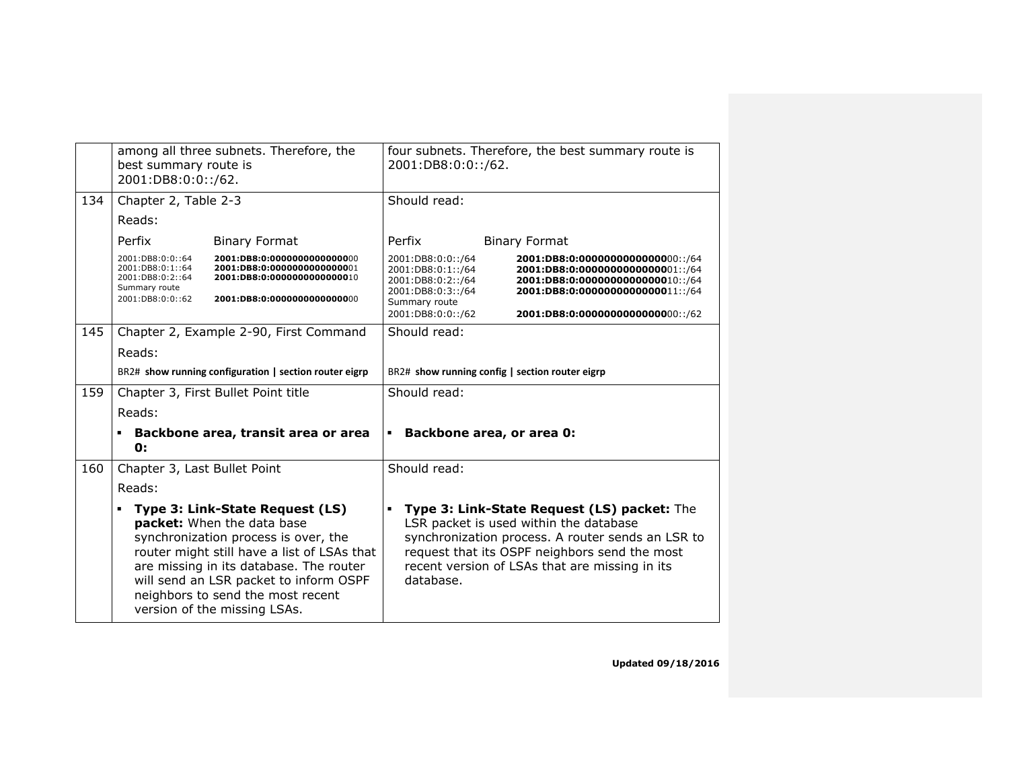|     | among all three subnets. Therefore, the<br>best summary route is<br>2001:DB8:0:0::/62.                                                                                                                                                                                                                              | four subnets. Therefore, the best summary route is<br>2001:DB8:0:0::/62.                                                                                                                                                                                   |
|-----|---------------------------------------------------------------------------------------------------------------------------------------------------------------------------------------------------------------------------------------------------------------------------------------------------------------------|------------------------------------------------------------------------------------------------------------------------------------------------------------------------------------------------------------------------------------------------------------|
| 134 | Chapter 2, Table 2-3                                                                                                                                                                                                                                                                                                | Should read:                                                                                                                                                                                                                                               |
|     | Reads:                                                                                                                                                                                                                                                                                                              |                                                                                                                                                                                                                                                            |
|     | Perfix<br><b>Binary Format</b>                                                                                                                                                                                                                                                                                      | Perfix<br><b>Binary Format</b>                                                                                                                                                                                                                             |
|     | 2001:DB8:0:0::64<br>2001:DB8:0:0000000000000000<br>2001:DB8:0:1::64<br>2001:DB8:0:00000000000000001<br>2001:DB8:0:2::64<br>2001:DB8:0:0000000000000010<br>Summary route<br>2001:DB8:0:0::62<br>2001:DB8:0:0000000000000000                                                                                          | 2001:DB8:0:0::/64<br>2001:DB8:0:1::/64<br>2001:DB8:0:00000000000000001::/64<br>2001:DB8:0:00000000000000010::/64<br>2001:DB8:0:2::/64<br>2001:DB8:0:3::/64<br>2001:DB8:0:00000000000000011::/64<br>Summary route<br>2001:DB8:0:0::/62                      |
| 145 | Chapter 2, Example 2-90, First Command                                                                                                                                                                                                                                                                              | Should read:                                                                                                                                                                                                                                               |
|     | Reads:                                                                                                                                                                                                                                                                                                              |                                                                                                                                                                                                                                                            |
|     | BR2# show running configuration   section router eigrp                                                                                                                                                                                                                                                              | BR2# show running config   section router eigrp                                                                                                                                                                                                            |
| 159 | Chapter 3, First Bullet Point title                                                                                                                                                                                                                                                                                 | Should read:                                                                                                                                                                                                                                               |
|     | Reads:                                                                                                                                                                                                                                                                                                              |                                                                                                                                                                                                                                                            |
|     | Backbone area, transit area or area<br>0:                                                                                                                                                                                                                                                                           | Backbone area, or area 0:<br>$\blacksquare$                                                                                                                                                                                                                |
| 160 | Chapter 3, Last Bullet Point                                                                                                                                                                                                                                                                                        | Should read:                                                                                                                                                                                                                                               |
|     | Reads:                                                                                                                                                                                                                                                                                                              |                                                                                                                                                                                                                                                            |
|     | Type 3: Link-State Request (LS)<br>٠<br>packet: When the data base<br>synchronization process is over, the<br>router might still have a list of LSAs that<br>are missing in its database. The router<br>will send an LSR packet to inform OSPF<br>neighbors to send the most recent<br>version of the missing LSAs. | Type 3: Link-State Request (LS) packet: The<br>LSR packet is used within the database<br>synchronization process. A router sends an LSR to<br>request that its OSPF neighbors send the most<br>recent version of LSAs that are missing in its<br>database. |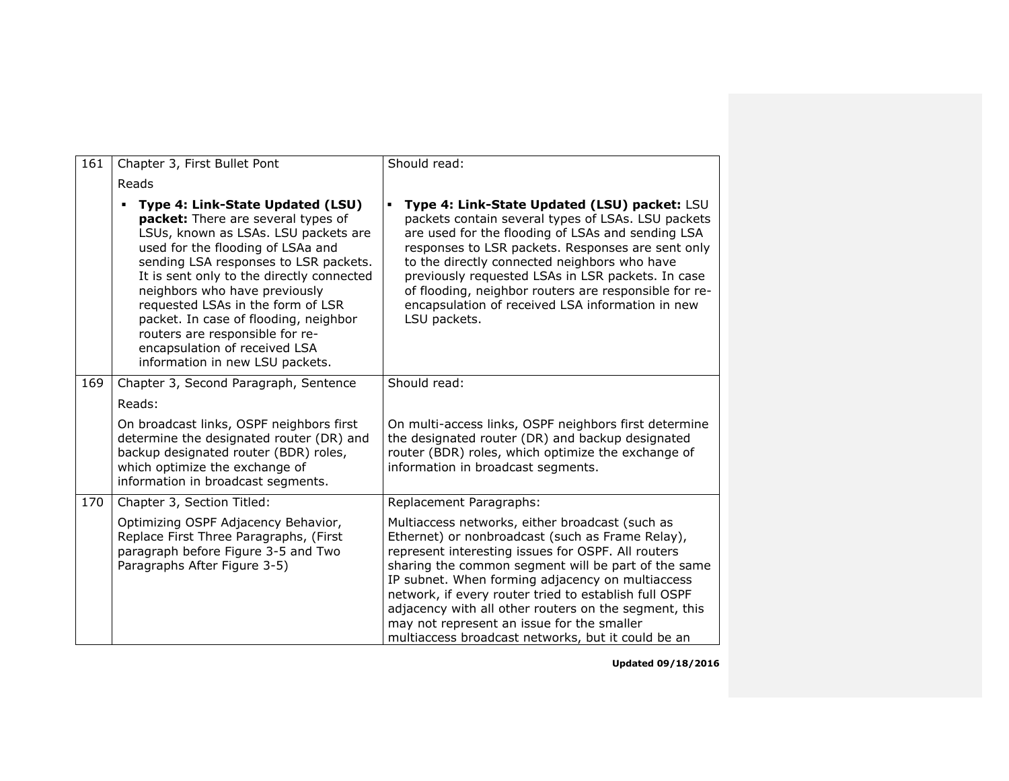| 161 | Chapter 3, First Bullet Pont                                                                                                                                                                                                                                                                                                                                                                                                                                    | Should read:                                                                                                                                                                                                                                                                                                                                                                                                                                                                               |
|-----|-----------------------------------------------------------------------------------------------------------------------------------------------------------------------------------------------------------------------------------------------------------------------------------------------------------------------------------------------------------------------------------------------------------------------------------------------------------------|--------------------------------------------------------------------------------------------------------------------------------------------------------------------------------------------------------------------------------------------------------------------------------------------------------------------------------------------------------------------------------------------------------------------------------------------------------------------------------------------|
|     | Reads                                                                                                                                                                                                                                                                                                                                                                                                                                                           |                                                                                                                                                                                                                                                                                                                                                                                                                                                                                            |
|     | Type 4: Link-State Updated (LSU)<br>packet: There are several types of<br>LSUs, known as LSAs. LSU packets are<br>used for the flooding of LSAa and<br>sending LSA responses to LSR packets.<br>It is sent only to the directly connected<br>neighbors who have previously<br>requested LSAs in the form of LSR<br>packet. In case of flooding, neighbor<br>routers are responsible for re-<br>encapsulation of received LSA<br>information in new LSU packets. | Type 4: Link-State Updated (LSU) packet: LSU<br>$\blacksquare$<br>packets contain several types of LSAs. LSU packets<br>are used for the flooding of LSAs and sending LSA<br>responses to LSR packets. Responses are sent only<br>to the directly connected neighbors who have<br>previously requested LSAs in LSR packets. In case<br>of flooding, neighbor routers are responsible for re-<br>encapsulation of received LSA information in new<br>LSU packets.                           |
| 169 | Chapter 3, Second Paragraph, Sentence                                                                                                                                                                                                                                                                                                                                                                                                                           | Should read:                                                                                                                                                                                                                                                                                                                                                                                                                                                                               |
|     | Reads:                                                                                                                                                                                                                                                                                                                                                                                                                                                          |                                                                                                                                                                                                                                                                                                                                                                                                                                                                                            |
|     | On broadcast links, OSPF neighbors first<br>determine the designated router (DR) and<br>backup designated router (BDR) roles,<br>which optimize the exchange of<br>information in broadcast segments.                                                                                                                                                                                                                                                           | On multi-access links, OSPF neighbors first determine<br>the designated router (DR) and backup designated<br>router (BDR) roles, which optimize the exchange of<br>information in broadcast segments.                                                                                                                                                                                                                                                                                      |
| 170 | Chapter 3, Section Titled:                                                                                                                                                                                                                                                                                                                                                                                                                                      | Replacement Paragraphs:                                                                                                                                                                                                                                                                                                                                                                                                                                                                    |
|     | Optimizing OSPF Adjacency Behavior,<br>Replace First Three Paragraphs, (First<br>paragraph before Figure 3-5 and Two<br>Paragraphs After Figure 3-5)                                                                                                                                                                                                                                                                                                            | Multiaccess networks, either broadcast (such as<br>Ethernet) or nonbroadcast (such as Frame Relay),<br>represent interesting issues for OSPF. All routers<br>sharing the common segment will be part of the same<br>IP subnet. When forming adjacency on multiaccess<br>network, if every router tried to establish full OSPF<br>adjacency with all other routers on the segment, this<br>may not represent an issue for the smaller<br>multiaccess broadcast networks, but it could be an |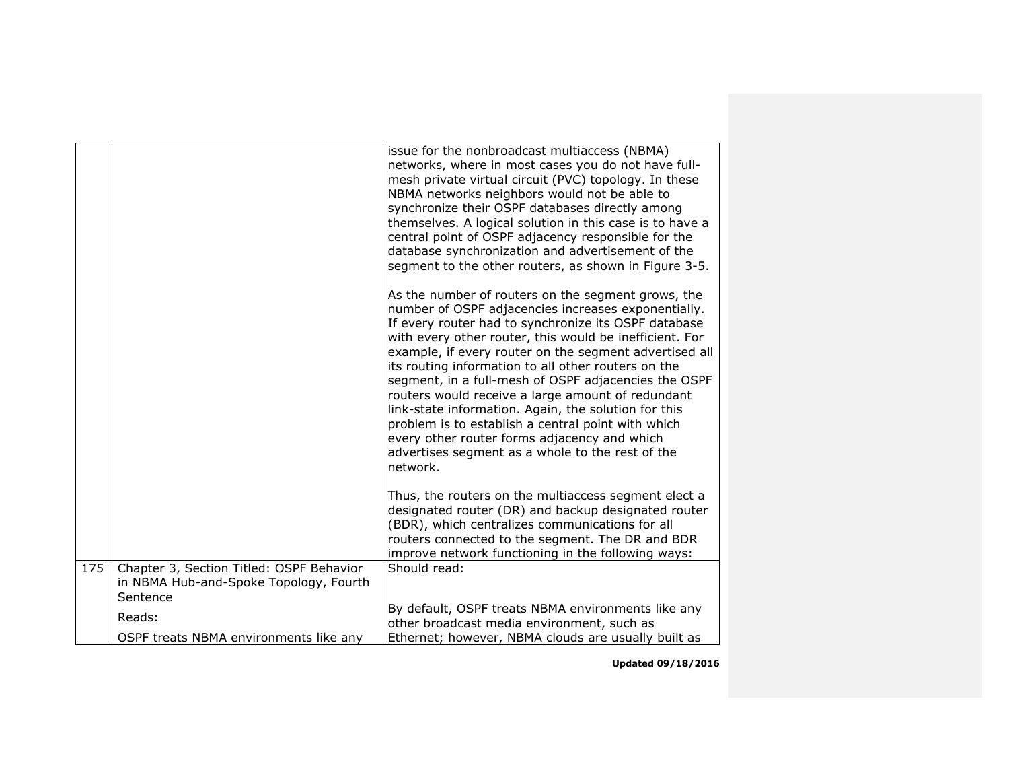|     |                                                                                    | issue for the nonbroadcast multiaccess (NBMA)<br>networks, where in most cases you do not have full-<br>mesh private virtual circuit (PVC) topology. In these<br>NBMA networks neighbors would not be able to<br>synchronize their OSPF databases directly among<br>themselves. A logical solution in this case is to have a<br>central point of OSPF adjacency responsible for the<br>database synchronization and advertisement of the<br>segment to the other routers, as shown in Figure 3-5.                                                                                                                                                                                        |
|-----|------------------------------------------------------------------------------------|------------------------------------------------------------------------------------------------------------------------------------------------------------------------------------------------------------------------------------------------------------------------------------------------------------------------------------------------------------------------------------------------------------------------------------------------------------------------------------------------------------------------------------------------------------------------------------------------------------------------------------------------------------------------------------------|
|     |                                                                                    | As the number of routers on the segment grows, the<br>number of OSPF adjacencies increases exponentially.<br>If every router had to synchronize its OSPF database<br>with every other router, this would be inefficient. For<br>example, if every router on the segment advertised all<br>its routing information to all other routers on the<br>segment, in a full-mesh of OSPF adjacencies the OSPF<br>routers would receive a large amount of redundant<br>link-state information. Again, the solution for this<br>problem is to establish a central point with which<br>every other router forms adjacency and which<br>advertises segment as a whole to the rest of the<br>network. |
|     |                                                                                    | Thus, the routers on the multiaccess segment elect a<br>designated router (DR) and backup designated router<br>(BDR), which centralizes communications for all<br>routers connected to the segment. The DR and BDR<br>improve network functioning in the following ways:                                                                                                                                                                                                                                                                                                                                                                                                                 |
| 175 | Chapter 3, Section Titled: OSPF Behavior<br>in NBMA Hub-and-Spoke Topology, Fourth | Should read:                                                                                                                                                                                                                                                                                                                                                                                                                                                                                                                                                                                                                                                                             |
|     | Sentence                                                                           |                                                                                                                                                                                                                                                                                                                                                                                                                                                                                                                                                                                                                                                                                          |
|     | Reads:                                                                             | By default, OSPF treats NBMA environments like any<br>other broadcast media environment, such as                                                                                                                                                                                                                                                                                                                                                                                                                                                                                                                                                                                         |
|     | OSPF treats NBMA environments like any                                             | Ethernet; however, NBMA clouds are usually built as                                                                                                                                                                                                                                                                                                                                                                                                                                                                                                                                                                                                                                      |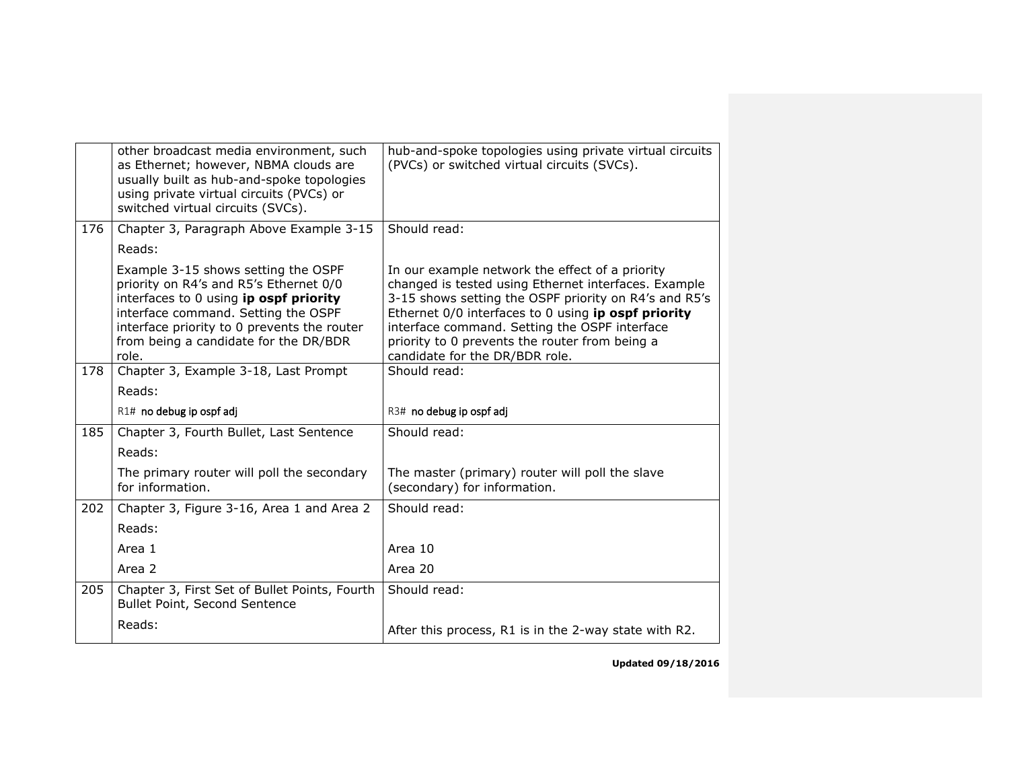|     | other broadcast media environment, such<br>as Ethernet; however, NBMA clouds are<br>usually built as hub-and-spoke topologies<br>using private virtual circuits (PVCs) or<br>switched virtual circuits (SVCs).                                                  | hub-and-spoke topologies using private virtual circuits<br>(PVCs) or switched virtual circuits (SVCs).                                                                                                                                                                                                                                                       |
|-----|-----------------------------------------------------------------------------------------------------------------------------------------------------------------------------------------------------------------------------------------------------------------|--------------------------------------------------------------------------------------------------------------------------------------------------------------------------------------------------------------------------------------------------------------------------------------------------------------------------------------------------------------|
| 176 | Chapter 3, Paragraph Above Example 3-15                                                                                                                                                                                                                         | Should read:                                                                                                                                                                                                                                                                                                                                                 |
|     | Reads:                                                                                                                                                                                                                                                          |                                                                                                                                                                                                                                                                                                                                                              |
|     | Example 3-15 shows setting the OSPF<br>priority on R4's and R5's Ethernet 0/0<br>interfaces to 0 using ip ospf priority<br>interface command. Setting the OSPF<br>interface priority to 0 prevents the router<br>from being a candidate for the DR/BDR<br>role. | In our example network the effect of a priority<br>changed is tested using Ethernet interfaces. Example<br>3-15 shows setting the OSPF priority on R4's and R5's<br>Ethernet 0/0 interfaces to 0 using ip ospf priority<br>interface command. Setting the OSPF interface<br>priority to 0 prevents the router from being a<br>candidate for the DR/BDR role. |
| 178 | Chapter 3, Example 3-18, Last Prompt                                                                                                                                                                                                                            | Should read:                                                                                                                                                                                                                                                                                                                                                 |
|     | Reads:                                                                                                                                                                                                                                                          |                                                                                                                                                                                                                                                                                                                                                              |
|     | R1# no debug ip ospf adj                                                                                                                                                                                                                                        | R3# no debug ip ospf adj                                                                                                                                                                                                                                                                                                                                     |
| 185 | Chapter 3, Fourth Bullet, Last Sentence                                                                                                                                                                                                                         | Should read:                                                                                                                                                                                                                                                                                                                                                 |
|     | Reads:                                                                                                                                                                                                                                                          |                                                                                                                                                                                                                                                                                                                                                              |
|     | The primary router will poll the secondary<br>for information.                                                                                                                                                                                                  | The master (primary) router will poll the slave<br>(secondary) for information.                                                                                                                                                                                                                                                                              |
| 202 | Chapter 3, Figure 3-16, Area 1 and Area 2                                                                                                                                                                                                                       | Should read:                                                                                                                                                                                                                                                                                                                                                 |
|     | Reads:                                                                                                                                                                                                                                                          |                                                                                                                                                                                                                                                                                                                                                              |
|     | Area 1                                                                                                                                                                                                                                                          | Area 10                                                                                                                                                                                                                                                                                                                                                      |
|     | Area 2                                                                                                                                                                                                                                                          | Area 20                                                                                                                                                                                                                                                                                                                                                      |
| 205 | Chapter 3, First Set of Bullet Points, Fourth<br>Bullet Point, Second Sentence                                                                                                                                                                                  | Should read:                                                                                                                                                                                                                                                                                                                                                 |
|     | Reads:                                                                                                                                                                                                                                                          | After this process, R1 is in the 2-way state with R2.                                                                                                                                                                                                                                                                                                        |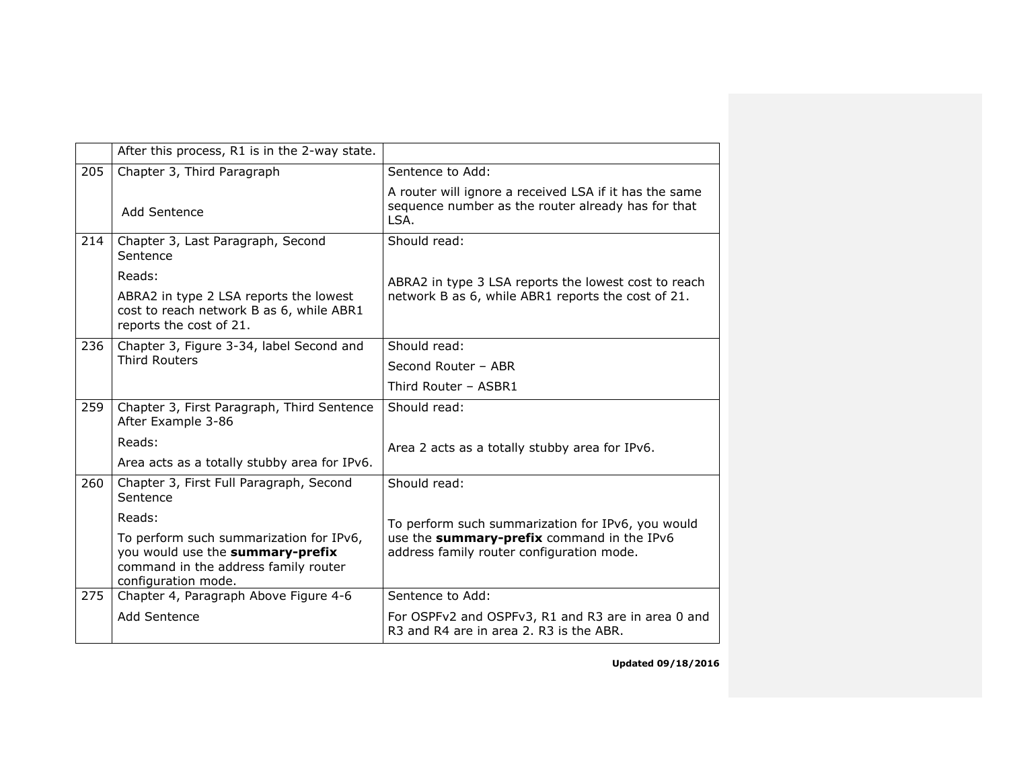|     | After this process, R1 is in the 2-way state.                                                                                              |                                                                                                                      |
|-----|--------------------------------------------------------------------------------------------------------------------------------------------|----------------------------------------------------------------------------------------------------------------------|
| 205 | Chapter 3, Third Paragraph                                                                                                                 | Sentence to Add:                                                                                                     |
|     | Add Sentence                                                                                                                               | A router will ignore a received LSA if it has the same<br>sequence number as the router already has for that<br>LSA. |
| 214 | Chapter 3, Last Paragraph, Second<br>Sentence                                                                                              | Should read:                                                                                                         |
|     | Reads:<br>ABRA2 in type 2 LSA reports the lowest<br>cost to reach network B as 6, while ABR1<br>reports the cost of 21.                    | ABRA2 in type 3 LSA reports the lowest cost to reach<br>network B as 6, while ABR1 reports the cost of 21.           |
| 236 | Chapter 3, Figure 3-34, label Second and                                                                                                   | Should read:                                                                                                         |
|     | <b>Third Routers</b>                                                                                                                       | Second Router - ABR                                                                                                  |
|     |                                                                                                                                            | Third Router - ASBR1                                                                                                 |
| 259 | Chapter 3, First Paragraph, Third Sentence<br>After Example 3-86                                                                           | Should read:                                                                                                         |
|     | Reads:                                                                                                                                     | Area 2 acts as a totally stubby area for IPv6.                                                                       |
|     | Area acts as a totally stubby area for IPv6.                                                                                               |                                                                                                                      |
| 260 | Chapter 3, First Full Paragraph, Second<br>Sentence                                                                                        | Should read:                                                                                                         |
|     | Reads:                                                                                                                                     | To perform such summarization for IPv6, you would                                                                    |
|     | To perform such summarization for IPv6,<br>you would use the summary-prefix<br>command in the address family router<br>configuration mode. | use the summary-prefix command in the IPv6<br>address family router configuration mode.                              |
| 275 | Chapter 4, Paragraph Above Figure 4-6                                                                                                      | Sentence to Add:                                                                                                     |
|     | Add Sentence                                                                                                                               | For OSPFv2 and OSPFv3, R1 and R3 are in area 0 and<br>R3 and R4 are in area 2, R3 is the ABR.                        |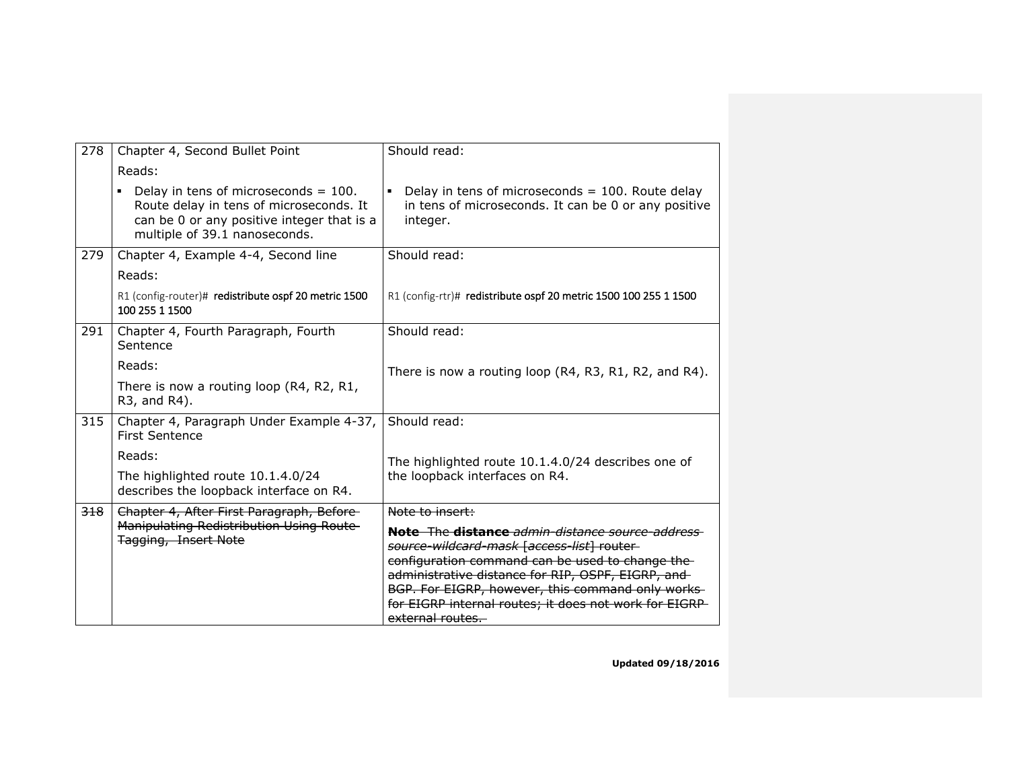| 278 | Chapter 4, Second Bullet Point                                                                                                                                                      | Should read:                                                                                                            |
|-----|-------------------------------------------------------------------------------------------------------------------------------------------------------------------------------------|-------------------------------------------------------------------------------------------------------------------------|
|     | Reads:                                                                                                                                                                              |                                                                                                                         |
|     | Delay in tens of microseconds = $100$ .<br>$\blacksquare$<br>Route delay in tens of microseconds. It<br>can be 0 or any positive integer that is a<br>multiple of 39.1 nanoseconds. | Delay in tens of microseconds $= 100$ . Route delay<br>in tens of microseconds. It can be 0 or any positive<br>integer. |
| 279 | Chapter 4, Example 4-4, Second line                                                                                                                                                 | Should read:                                                                                                            |
|     | Reads:                                                                                                                                                                              |                                                                                                                         |
|     | R1 (config-router)# redistribute ospf 20 metric 1500<br>100 255 1 1500                                                                                                              | R1 (config-rtr)# redistribute ospf 20 metric 1500 100 255 1 1500                                                        |
| 291 | Chapter 4, Fourth Paragraph, Fourth<br>Sentence                                                                                                                                     | Should read:                                                                                                            |
|     | Reads:                                                                                                                                                                              | There is now a routing loop (R4, R3, R1, R2, and R4).                                                                   |
|     | There is now a routing loop (R4, R2, R1,<br>R3, and R4).                                                                                                                            |                                                                                                                         |
| 315 | Chapter 4, Paragraph Under Example 4-37,<br><b>First Sentence</b>                                                                                                                   | Should read:                                                                                                            |
|     | Reads:                                                                                                                                                                              | The highlighted route 10.1.4.0/24 describes one of                                                                      |
|     | The highlighted route 10.1.4.0/24<br>describes the loopback interface on R4.                                                                                                        | the loopback interfaces on R4.                                                                                          |
| 318 | Chapter 4, After First Paragraph, Before-                                                                                                                                           | Note to insert:                                                                                                         |
|     | Manipulating Redistribution Using Route<br><b>Tagging, Insert Note</b>                                                                                                              | Note The distance admin-distance source-address-<br>source-wildcard-mask [access-list] router-                          |
|     |                                                                                                                                                                                     | configuration command can be used to change the-<br>administrative distance for RIP, OSPF, EIGRP, and-                  |
|     |                                                                                                                                                                                     | BGP. For EIGRP, however, this command only works-                                                                       |
|     |                                                                                                                                                                                     | for EIGRP internal routes; it does not work for EIGRP-<br>external routes.                                              |
|     |                                                                                                                                                                                     |                                                                                                                         |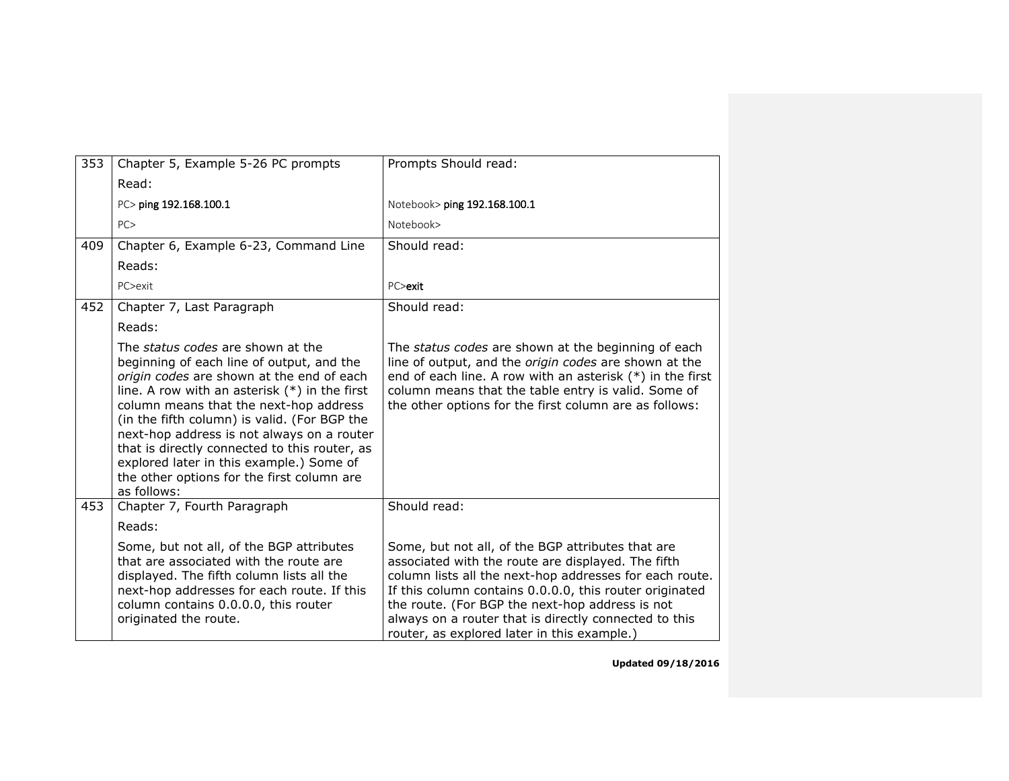| 353 | Chapter 5, Example 5-26 PC prompts                                                                                                                                                                                                                                                                                                                                                                                                                                               | Prompts Should read:                                                                                                                                                                                                                                                                                                                                                                     |
|-----|----------------------------------------------------------------------------------------------------------------------------------------------------------------------------------------------------------------------------------------------------------------------------------------------------------------------------------------------------------------------------------------------------------------------------------------------------------------------------------|------------------------------------------------------------------------------------------------------------------------------------------------------------------------------------------------------------------------------------------------------------------------------------------------------------------------------------------------------------------------------------------|
|     | Read:                                                                                                                                                                                                                                                                                                                                                                                                                                                                            |                                                                                                                                                                                                                                                                                                                                                                                          |
|     | PC> ping 192.168.100.1                                                                                                                                                                                                                                                                                                                                                                                                                                                           | Notebook> ping 192.168.100.1                                                                                                                                                                                                                                                                                                                                                             |
|     | PC                                                                                                                                                                                                                                                                                                                                                                                                                                                                               | Notebook>                                                                                                                                                                                                                                                                                                                                                                                |
| 409 | Chapter 6, Example 6-23, Command Line                                                                                                                                                                                                                                                                                                                                                                                                                                            | Should read:                                                                                                                                                                                                                                                                                                                                                                             |
|     | Reads:                                                                                                                                                                                                                                                                                                                                                                                                                                                                           |                                                                                                                                                                                                                                                                                                                                                                                          |
|     | PC>exit                                                                                                                                                                                                                                                                                                                                                                                                                                                                          | PC>exit                                                                                                                                                                                                                                                                                                                                                                                  |
| 452 | Chapter 7, Last Paragraph                                                                                                                                                                                                                                                                                                                                                                                                                                                        | Should read:                                                                                                                                                                                                                                                                                                                                                                             |
|     | Reads:                                                                                                                                                                                                                                                                                                                                                                                                                                                                           |                                                                                                                                                                                                                                                                                                                                                                                          |
|     | The status codes are shown at the<br>beginning of each line of output, and the<br>origin codes are shown at the end of each<br>line. A row with an asterisk $(*)$ in the first<br>column means that the next-hop address<br>(in the fifth column) is valid. (For BGP the<br>next-hop address is not always on a router<br>that is directly connected to this router, as<br>explored later in this example.) Some of<br>the other options for the first column are<br>as follows: | The status codes are shown at the beginning of each<br>line of output, and the <i>origin codes</i> are shown at the<br>end of each line. A row with an asterisk $(*)$ in the first<br>column means that the table entry is valid. Some of<br>the other options for the first column are as follows:                                                                                      |
| 453 | Chapter 7, Fourth Paragraph                                                                                                                                                                                                                                                                                                                                                                                                                                                      | Should read:                                                                                                                                                                                                                                                                                                                                                                             |
|     | Reads:                                                                                                                                                                                                                                                                                                                                                                                                                                                                           |                                                                                                                                                                                                                                                                                                                                                                                          |
|     | Some, but not all, of the BGP attributes<br>that are associated with the route are<br>displayed. The fifth column lists all the<br>next-hop addresses for each route. If this<br>column contains 0.0.0.0, this router<br>originated the route.                                                                                                                                                                                                                                   | Some, but not all, of the BGP attributes that are<br>associated with the route are displayed. The fifth<br>column lists all the next-hop addresses for each route.<br>If this column contains 0.0.0.0, this router originated<br>the route. (For BGP the next-hop address is not<br>always on a router that is directly connected to this<br>router, as explored later in this example.) |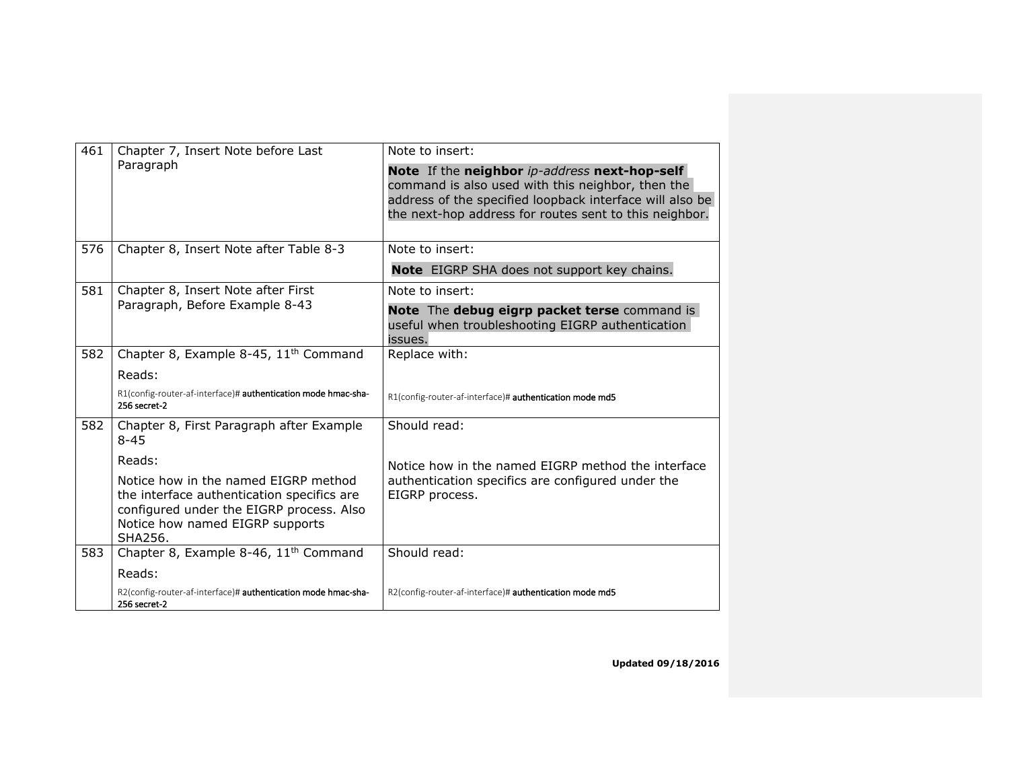| 461             | Chapter 7, Insert Note before Last<br>Paragraph                                                                                                                              | Note to insert:                                                                                                                                                                                                          |
|-----------------|------------------------------------------------------------------------------------------------------------------------------------------------------------------------------|--------------------------------------------------------------------------------------------------------------------------------------------------------------------------------------------------------------------------|
|                 |                                                                                                                                                                              | Note If the neighbor ip-address next-hop-self<br>command is also used with this neighbor, then the<br>address of the specified loopback interface will also be<br>the next-hop address for routes sent to this neighbor. |
| 576             | Chapter 8, Insert Note after Table 8-3                                                                                                                                       | Note to insert:                                                                                                                                                                                                          |
|                 |                                                                                                                                                                              | Note EIGRP SHA does not support key chains.                                                                                                                                                                              |
| 581             | Chapter 8, Insert Note after First<br>Paragraph, Before Example 8-43                                                                                                         | Note to insert:                                                                                                                                                                                                          |
|                 |                                                                                                                                                                              | Note The debug eigrp packet terse command is<br>useful when troubleshooting EIGRP authentication<br>issues.                                                                                                              |
| 582             | Chapter 8, Example 8-45, 11 <sup>th</sup> Command                                                                                                                            | Replace with:                                                                                                                                                                                                            |
|                 | Reads:                                                                                                                                                                       |                                                                                                                                                                                                                          |
|                 | R1(config-router-af-interface)# authentication mode hmac-sha-<br>256 secret-2                                                                                                | R1(config-router-af-interface)# authentication mode md5                                                                                                                                                                  |
| 582<br>$8 - 45$ | Chapter 8, First Paragraph after Example                                                                                                                                     | Should read:                                                                                                                                                                                                             |
|                 | Reads:                                                                                                                                                                       | Notice how in the named EIGRP method the interface                                                                                                                                                                       |
|                 | Notice how in the named EIGRP method<br>the interface authentication specifics are<br>configured under the EIGRP process. Also<br>Notice how named EIGRP supports<br>SHA256. | authentication specifics are configured under the<br>EIGRP process.                                                                                                                                                      |
| 583             | Chapter 8, Example 8-46, 11 <sup>th</sup> Command                                                                                                                            | Should read:                                                                                                                                                                                                             |
|                 | Reads:                                                                                                                                                                       |                                                                                                                                                                                                                          |
|                 | R2(config-router-af-interface)# authentication mode hmac-sha-<br>256 secret-2                                                                                                | R2(config-router-af-interface)# authentication mode md5                                                                                                                                                                  |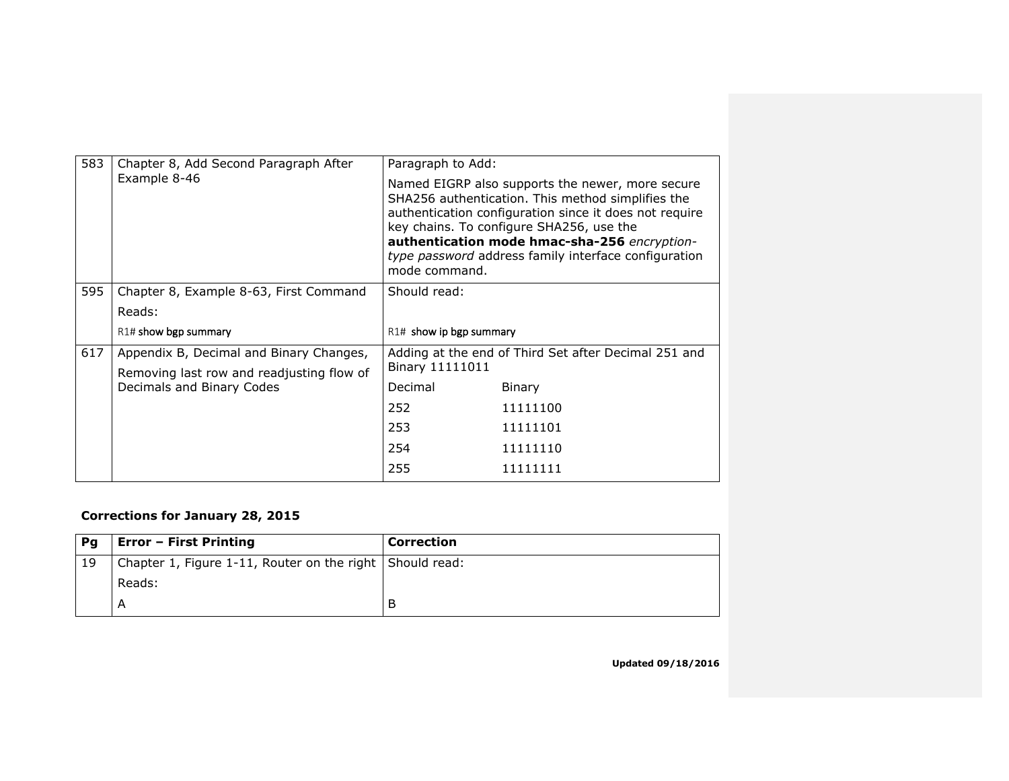| 583 | Chapter 8, Add Second Paragraph After                                  | Paragraph to Add:       |                                                                                                                                                                                                                                                                                                                     |
|-----|------------------------------------------------------------------------|-------------------------|---------------------------------------------------------------------------------------------------------------------------------------------------------------------------------------------------------------------------------------------------------------------------------------------------------------------|
|     | Example 8-46                                                           | mode command.           | Named EIGRP also supports the newer, more secure<br>SHA256 authentication. This method simplifies the<br>authentication configuration since it does not require<br>key chains. To configure SHA256, use the<br>authentication mode hmac-sha-256 encryption-<br>type password address family interface configuration |
| 595 | Chapter 8, Example 8-63, First Command                                 | Should read:            |                                                                                                                                                                                                                                                                                                                     |
|     | Reads:                                                                 |                         |                                                                                                                                                                                                                                                                                                                     |
|     | $R1#$ show bgp summary                                                 | R1# show ip bgp summary |                                                                                                                                                                                                                                                                                                                     |
| 617 | Appendix B, Decimal and Binary Changes,                                |                         | Adding at the end of Third Set after Decimal 251 and                                                                                                                                                                                                                                                                |
|     | Removing last row and readjusting flow of<br>Decimals and Binary Codes | Binary 11111011         |                                                                                                                                                                                                                                                                                                                     |
|     |                                                                        | Decimal                 | Binary                                                                                                                                                                                                                                                                                                              |
|     |                                                                        | 252                     | 11111100                                                                                                                                                                                                                                                                                                            |
|     |                                                                        | 253                     | 11111101                                                                                                                                                                                                                                                                                                            |
|     |                                                                        | 254                     | 11111110                                                                                                                                                                                                                                                                                                            |
|     |                                                                        | 255                     | 11111111                                                                                                                                                                                                                                                                                                            |
|     |                                                                        |                         |                                                                                                                                                                                                                                                                                                                     |

# **Corrections for January 28, 2015**

| Pg | <b>Error - First Printing</b>                                    | Correction |
|----|------------------------------------------------------------------|------------|
| 19 | Chapter 1, Figure 1-11, Router on the right $\vert$ Should read: |            |
|    | Reads:                                                           |            |
|    |                                                                  | В          |